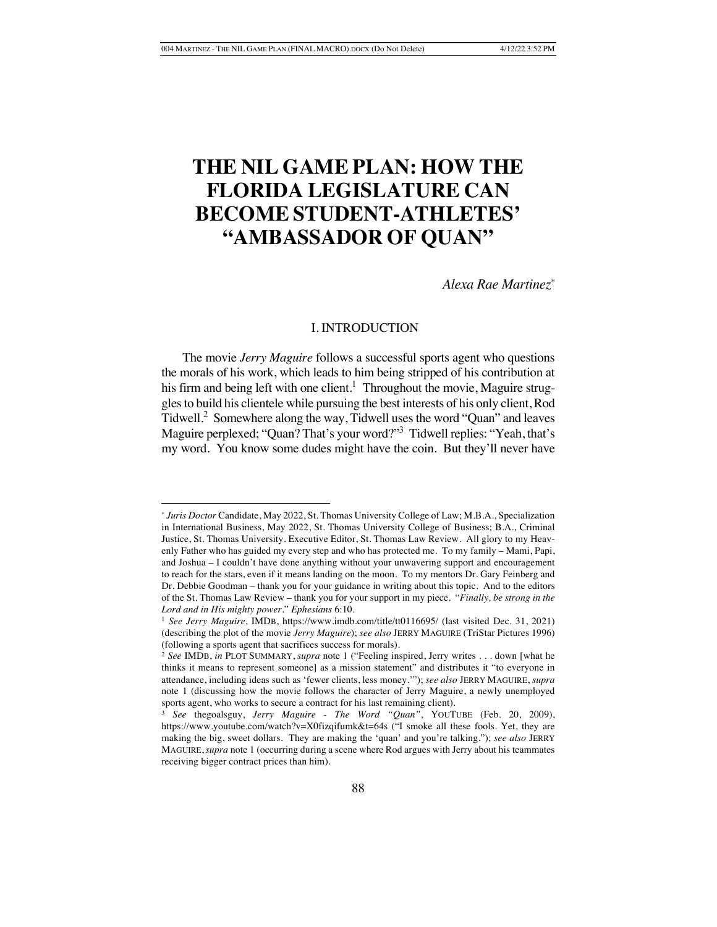# **THE NIL GAME PLAN: HOW THE FLORIDA LEGISLATURE CAN BECOME STUDENT-ATHLETES' "AMBASSADOR OF QUAN"**

*Alexa Rae Martinez\**

# I. INTRODUCTION

The movie *Jerry Maguire* follows a successful sports agent who questions the morals of his work, which leads to him being stripped of his contribution at his firm and being left with one client.<sup>1</sup> Throughout the movie, Maguire struggles to build his clientele while pursuing the best interests of his only client, Rod Tidwell.2 Somewhere along the way, Tidwell uses the word "Quan" and leaves Maguire perplexed; "Quan? That's your word?"3 Tidwell replies: "Yeah, that's my word. You know some dudes might have the coin. But they'll never have

<sup>\*</sup> *Juris Doctor* Candidate, May 2022, St. Thomas University College of Law; M.B.A., Specialization in International Business, May 2022, St. Thomas University College of Business; B.A., Criminal Justice, St. Thomas University. Executive Editor, St. Thomas Law Review. All glory to my Heavenly Father who has guided my every step and who has protected me. To my family – Mami, Papi, and Joshua – I couldn't have done anything without your unwavering support and encouragement to reach for the stars, even if it means landing on the moon. To my mentors Dr. Gary Feinberg and Dr. Debbie Goodman – thank you for your guidance in writing about this topic. And to the editors of the St. Thomas Law Review – thank you for your support in my piece. "*Finally, be strong in the Lord and in His mighty power*." *Ephesians* 6:10.

<sup>1</sup> *See Jerry Maguire*, IMDB, https://www.imdb.com/title/tt0116695/ (last visited Dec. 31, 2021) (describing the plot of the movie *Jerry Maguire*); *see also* JERRY MAGUIRE (TriStar Pictures 1996) (following a sports agent that sacrifices success for morals).

<sup>2</sup> *See* IMDB, *in* PLOT SUMMARY, *supra* note 1 ("Feeling inspired, Jerry writes . . . down [what he thinks it means to represent someone] as a mission statement" and distributes it "to everyone in attendance, including ideas such as 'fewer clients, less money.'"); *see also* JERRY MAGUIRE, *supra* note 1 (discussing how the movie follows the character of Jerry Maguire, a newly unemployed sports agent, who works to secure a contract for his last remaining client).

<sup>3</sup> *See* thegoalsguy, *Jerry Maguire - The Word "Quan"*, YOUTUBE (Feb. 20, 2009), https://www.youtube.com/watch?v=X0fizqifumk&t=64s ("I smoke all these fools. Yet, they are making the big, sweet dollars. They are making the 'quan' and you're talking."); *see also* JERRY MAGUIRE,*supra* note 1 (occurring during a scene where Rod argues with Jerry about his teammates receiving bigger contract prices than him).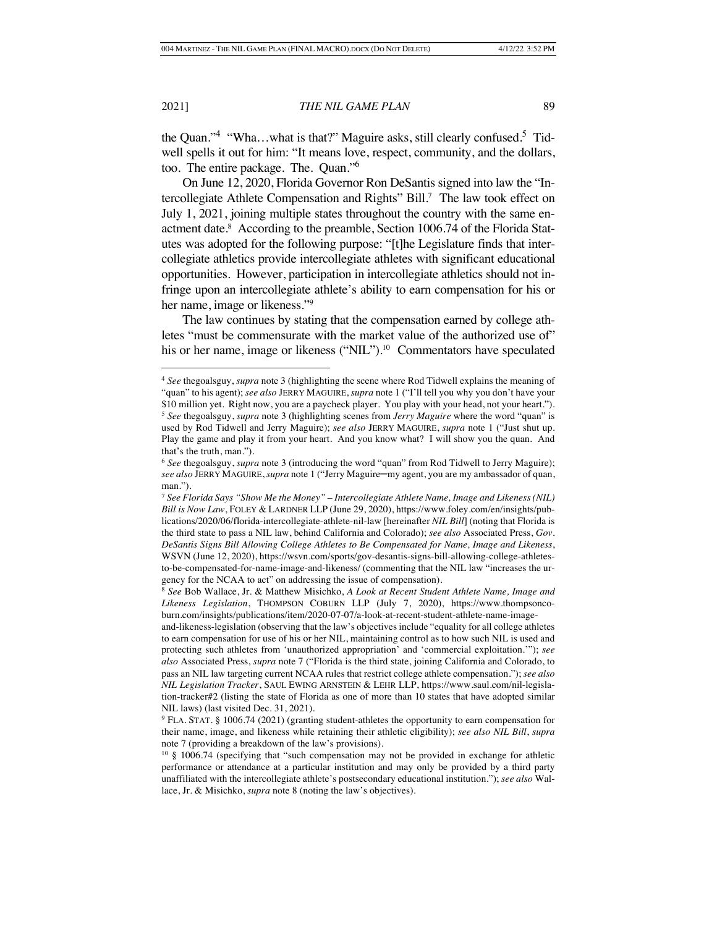the Quan."<sup>4</sup> "Wha...what is that?" Maguire asks, still clearly confused.<sup>5</sup> Tidwell spells it out for him: "It means love, respect, community, and the dollars, too. The entire package. The. Quan."<sup>6</sup>

On June 12, 2020, Florida Governor Ron DeSantis signed into law the "Intercollegiate Athlete Compensation and Rights" Bill.<sup>7</sup> The law took effect on July 1, 2021, joining multiple states throughout the country with the same enactment date.<sup>8</sup> According to the preamble, Section 1006.74 of the Florida Statutes was adopted for the following purpose: "[t]he Legislature finds that intercollegiate athletics provide intercollegiate athletes with significant educational opportunities. However, participation in intercollegiate athletics should not infringe upon an intercollegiate athlete's ability to earn compensation for his or her name, image or likeness."9

The law continues by stating that the compensation earned by college athletes "must be commensurate with the market value of the authorized use of" his or her name, image or likeness ("NIL").<sup>10</sup> Commentators have speculated

<sup>4</sup> *See* thegoalsguy, *supra* note 3 (highlighting the scene where Rod Tidwell explains the meaning of "quan" to his agent); *see also* JERRY MAGUIRE, *supra* note 1 ("I'll tell you why you don't have your \$10 million yet. Right now, you are a paycheck player. You play with your head, not your heart."). <sup>5</sup> *See* thegoalsguy, *supra* note 3 (highlighting scenes from *Jerry Maguire* where the word "quan" is used by Rod Tidwell and Jerry Maguire); *see also* JERRY MAGUIRE, *supra* note 1 ("Just shut up. Play the game and play it from your heart. And you know what? I will show you the quan. And that's the truth, man.").

<sup>6</sup> *See* thegoalsguy, *supra* note 3 (introducing the word "quan" from Rod Tidwell to Jerry Maguire); *see also* JERRY MAGUIRE, *supra* note 1 ("Jerry Maguire–my agent, you are my ambassador of quan, man.").

<sup>7</sup> *See Florida Says "Show Me the Money" – Intercollegiate Athlete Name, Image and Likeness (NIL) Bill is Now Law*, FOLEY & LARDNER LLP (June 29, 2020), https://www.foley.com/en/insights/publications/2020/06/florida-intercollegiate-athlete-nil-law [hereinafter *NIL Bill*] (noting that Florida is the third state to pass a NIL law, behind California and Colorado); *see also* Associated Press, *Gov. DeSantis Signs Bill Allowing College Athletes to Be Compensated for Name, Image and Likeness*, WSVN (June 12, 2020), https://wsvn.com/sports/gov-desantis-signs-bill-allowing-college-athletesto-be-compensated-for-name-image-and-likeness/ (commenting that the NIL law "increases the urgency for the NCAA to act" on addressing the issue of compensation).

<sup>8</sup> *See* Bob Wallace, Jr. & Matthew Misichko, *A Look at Recent Student Athlete Name, Image and Likeness Legislation*, THOMPSON COBURN LLP (July 7, 2020), https://www.thompsoncoburn.com/insights/publications/item/2020-07-07/a-look-at-recent-student-athlete-name-image-

and-likeness-legislation (observing that the law's objectives include "equality for all college athletes to earn compensation for use of his or her NIL, maintaining control as to how such NIL is used and protecting such athletes from 'unauthorized appropriation' and 'commercial exploitation.'"); *see also* Associated Press, *supra* note 7 ("Florida is the third state, joining California and Colorado, to pass an NIL law targeting current NCAA rules that restrict college athlete compensation."); *see also NIL Legislation Tracker*, SAUL EWING ARNSTEIN & LEHR LLP, https://www.saul.com/nil-legislation-tracker#2 (listing the state of Florida as one of more than 10 states that have adopted similar NIL laws) (last visited Dec. 31, 2021).

<sup>9</sup> FLA. STAT. § 1006.74 (2021) (granting student-athletes the opportunity to earn compensation for their name, image, and likeness while retaining their athletic eligibility); *see also NIL Bill*, *supra* note 7 (providing a breakdown of the law's provisions).

<sup>10</sup> § 1006.74 (specifying that "such compensation may not be provided in exchange for athletic performance or attendance at a particular institution and may only be provided by a third party unaffiliated with the intercollegiate athlete's postsecondary educational institution."); *see also* Wallace, Jr. & Misichko, *supra* note 8 (noting the law's objectives).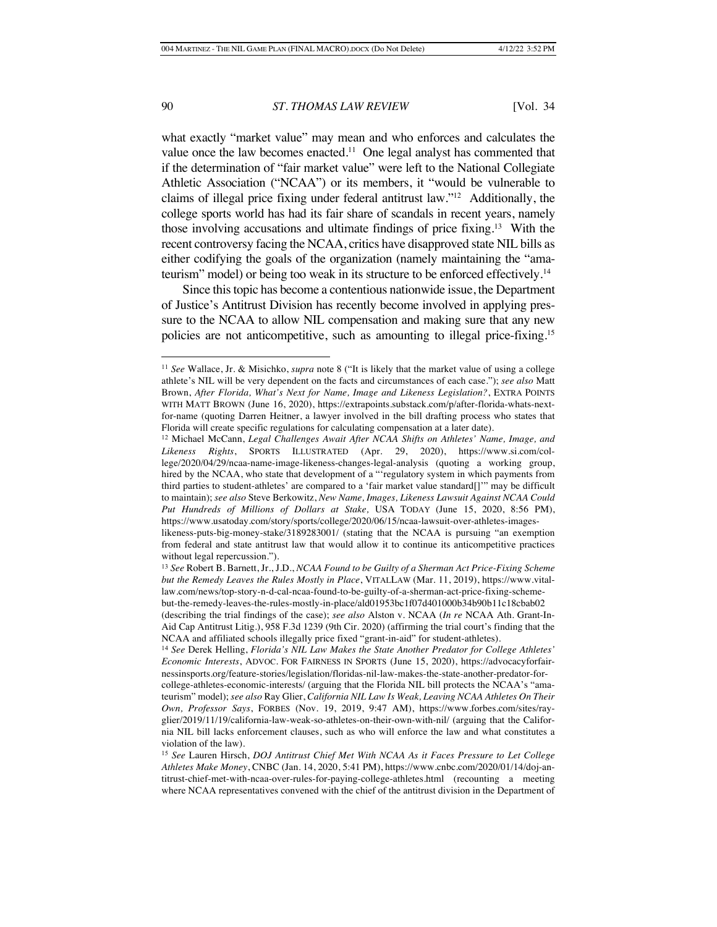what exactly "market value" may mean and who enforces and calculates the value once the law becomes enacted.<sup>11</sup> One legal analyst has commented that if the determination of "fair market value" were left to the National Collegiate Athletic Association ("NCAA") or its members, it "would be vulnerable to claims of illegal price fixing under federal antitrust law."12 Additionally, the college sports world has had its fair share of scandals in recent years, namely those involving accusations and ultimate findings of price fixing.13 With the recent controversy facing the NCAA, critics have disapproved state NIL bills as either codifying the goals of the organization (namely maintaining the "amateurism" model) or being too weak in its structure to be enforced effectively.14

Since this topic has become a contentious nationwide issue, the Department of Justice's Antitrust Division has recently become involved in applying pressure to the NCAA to allow NIL compensation and making sure that any new policies are not anticompetitive, such as amounting to illegal price-fixing.15

<sup>11</sup> *See* Wallace, Jr. & Misichko, *supra* note 8 ("It is likely that the market value of using a college athlete's NIL will be very dependent on the facts and circumstances of each case."); *see also* Matt Brown, *After Florida, What's Next for Name, Image and Likeness Legislation?*, EXTRA POINTS WITH MATT BROWN (June 16, 2020), https://extrapoints.substack.com/p/after-florida-whats-nextfor-name (quoting Darren Heitner, a lawyer involved in the bill drafting process who states that Florida will create specific regulations for calculating compensation at a later date).

<sup>12</sup> Michael McCann, *Legal Challenges Await After NCAA Shifts on Athletes' Name, Image, and Likeness Rights*, SPORTS ILLUSTRATED (Apr. 29, 2020), https://www.si.com/college/2020/04/29/ncaa-name-image-likeness-changes-legal-analysis (quoting a working group, hired by the NCAA, who state that development of a "'regulatory system in which payments from third parties to student-athletes' are compared to a 'fair market value standard[]'" may be difficult to maintain); *see also* Steve Berkowitz, *New Name, Images, Likeness Lawsuit Against NCAA Could Put Hundreds of Millions of Dollars at Stake,* USA TODAY (June 15, 2020, 8:56 PM), https://www.usatoday.com/story/sports/college/2020/06/15/ncaa-lawsuit-over-athletes-images-

likeness-puts-big-money-stake/3189283001/ (stating that the NCAA is pursuing "an exemption from federal and state antitrust law that would allow it to continue its anticompetitive practices without legal repercussion.").

<sup>13</sup> *See* Robert B. Barnett, Jr., J.D., *NCAA Found to be Guilty of a Sherman Act Price-Fixing Scheme but the Remedy Leaves the Rules Mostly in Place*, VITALLAW (Mar. 11, 2019), https://www.vitallaw.com/news/top-story-n-d-cal-ncaa-found-to-be-guilty-of-a-sherman-act-price-fixing-schemebut-the-remedy-leaves-the-rules-mostly-in-place/ald01953bc1f07d401000b34b90b11c18cbab02

<sup>(</sup>describing the trial findings of the case); *see also* Alston v. NCAA (*In re* NCAA Ath. Grant-In-Aid Cap Antitrust Litig.), 958 F.3d 1239 (9th Cir. 2020) (affirming the trial court's finding that the NCAA and affiliated schools illegally price fixed "grant-in-aid" for student-athletes).

<sup>14</sup> *See* Derek Helling, *Florida's NIL Law Makes the State Another Predator for College Athletes' Economic Interests*, ADVOC. FOR FAIRNESS IN SPORTS (June 15, 2020), https://advocacyforfairnessinsports.org/feature-stories/legislation/floridas-nil-law-makes-the-state-another-predator-forcollege-athletes-economic-interests/ (arguing that the Florida NIL bill protects the NCAA's "amateurism" model); *see also* Ray Glier, *California NIL Law Is Weak, Leaving NCAA Athletes On Their Own, Professor Says*, FORBES (Nov. 19, 2019, 9:47 AM), https://www.forbes.com/sites/rayglier/2019/11/19/california-law-weak-so-athletes-on-their-own-with-nil/ (arguing that the California NIL bill lacks enforcement clauses, such as who will enforce the law and what constitutes a violation of the law).

<sup>15</sup> *See* Lauren Hirsch, *DOJ Antitrust Chief Met With NCAA As it Faces Pressure to Let College Athletes Make Money*, CNBC (Jan. 14, 2020, 5:41 PM), https://www.cnbc.com/2020/01/14/doj-antitrust-chief-met-with-ncaa-over-rules-for-paying-college-athletes.html (recounting a meeting where NCAA representatives convened with the chief of the antitrust division in the Department of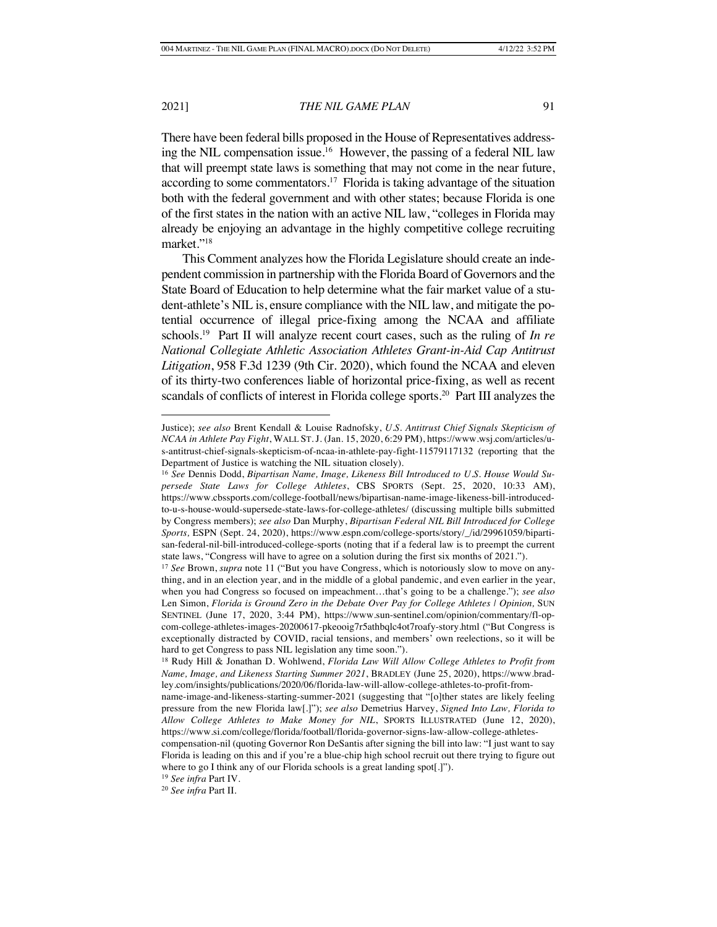There have been federal bills proposed in the House of Representatives addressing the NIL compensation issue.16 However, the passing of a federal NIL law that will preempt state laws is something that may not come in the near future, according to some commentators.17 Florida is taking advantage of the situation both with the federal government and with other states; because Florida is one of the first states in the nation with an active NIL law, "colleges in Florida may already be enjoying an advantage in the highly competitive college recruiting market."18

This Comment analyzes how the Florida Legislature should create an independent commission in partnership with the Florida Board of Governors and the State Board of Education to help determine what the fair market value of a student-athlete's NIL is, ensure compliance with the NIL law, and mitigate the potential occurrence of illegal price-fixing among the NCAA and affiliate schools.19 Part II will analyze recent court cases, such as the ruling of *In re National Collegiate Athletic Association Athletes Grant-in-Aid Cap Antitrust Litigation*, 958 F.3d 1239 (9th Cir. 2020), which found the NCAA and eleven of its thirty-two conferences liable of horizontal price-fixing, as well as recent scandals of conflicts of interest in Florida college sports.<sup>20</sup> Part III analyzes the

Justice); *see also* Brent Kendall & Louise Radnofsky, *U.S. Antitrust Chief Signals Skepticism of NCAA in Athlete Pay Fight*, WALL ST.J. (Jan. 15, 2020, 6:29 PM), https://www.wsj.com/articles/us-antitrust-chief-signals-skepticism-of-ncaa-in-athlete-pay-fight-11579117132 (reporting that the Department of Justice is watching the NIL situation closely).

<sup>16</sup> *See* Dennis Dodd, *Bipartisan Name, Image, Likeness Bill Introduced to U.S. House Would Supersede State Laws for College Athletes*, CBS SPORTS (Sept. 25, 2020, 10:33 AM), https://www.cbssports.com/college-football/news/bipartisan-name-image-likeness-bill-introducedto-u-s-house-would-supersede-state-laws-for-college-athletes/ (discussing multiple bills submitted by Congress members); *see also* Dan Murphy, *Bipartisan Federal NIL Bill Introduced for College Sports,* ESPN (Sept. 24, 2020), https://www.espn.com/college-sports/story/\_/id/29961059/bipartisan-federal-nil-bill-introduced-college-sports (noting that if a federal law is to preempt the current state laws, "Congress will have to agree on a solution during the first six months of 2021.").

<sup>17</sup> *See* Brown, *supra* note 11 ("But you have Congress, which is notoriously slow to move on anything, and in an election year, and in the middle of a global pandemic, and even earlier in the year, when you had Congress so focused on impeachment…that's going to be a challenge."); *see also*  Len Simon, *Florida is Ground Zero in the Debate Over Pay for College Athletes | Opinion,* SUN SENTINEL (June 17, 2020, 3:44 PM), https://www.sun-sentinel.com/opinion/commentary/fl-opcom-college-athletes-images-20200617-pkeooig7r5athbqlc4ot7roafy-story.html ("But Congress is exceptionally distracted by COVID, racial tensions, and members' own reelections, so it will be hard to get Congress to pass NIL legislation any time soon.").

<sup>18</sup> Rudy Hill & Jonathan D. Wohlwend, *Florida Law Will Allow College Athletes to Profit from Name, Image, and Likeness Starting Summer 2021*, BRADLEY (June 25, 2020), https://www.bradley.com/insights/publications/2020/06/florida-law-will-allow-college-athletes-to-profit-from-

name-image-and-likeness-starting-summer-2021 (suggesting that "[o]ther states are likely feeling pressure from the new Florida law[.]"); *see also* Demetrius Harvey, *Signed Into Law, Florida to Allow College Athletes to Make Money for NIL*, SPORTS ILLUSTRATED (June 12, 2020), https://www.si.com/college/florida/football/florida-governor-signs-law-allow-college-athletes-

compensation-nil (quoting Governor Ron DeSantis after signing the bill into law: "I just want to say Florida is leading on this and if you're a blue-chip high school recruit out there trying to figure out where to go I think any of our Florida schools is a great landing spot[.]").

<sup>19</sup> *See infra* Part IV.

<sup>20</sup> *See infra* Part II.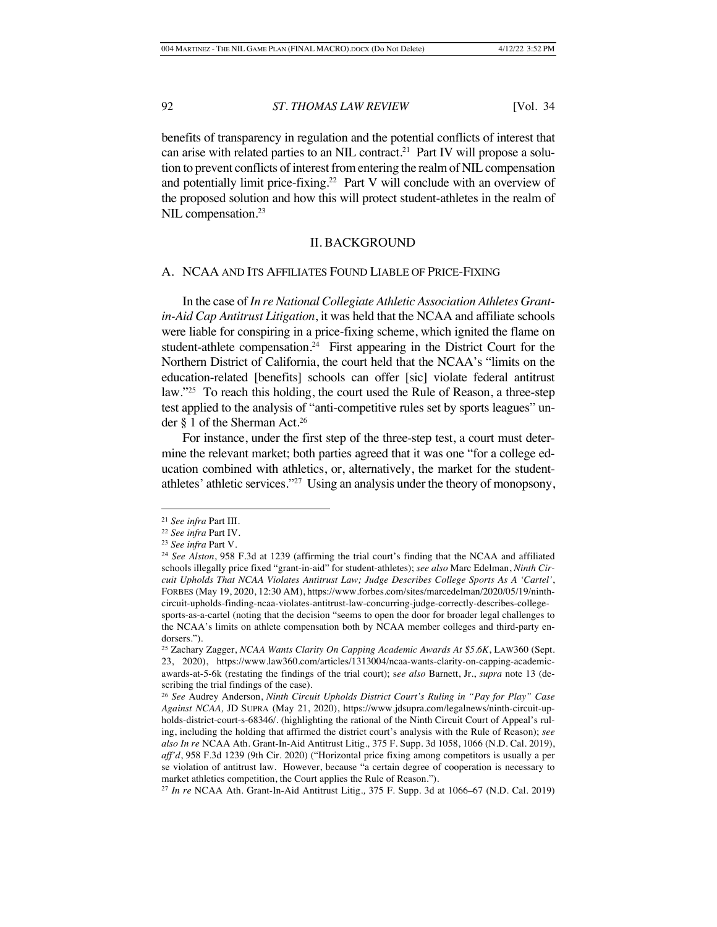benefits of transparency in regulation and the potential conflicts of interest that can arise with related parties to an NIL contract.21 Part IV will propose a solution to prevent conflicts of interest from entering the realm of NIL compensation and potentially limit price-fixing.22 Part V will conclude with an overview of the proposed solution and how this will protect student-athletes in the realm of NIL compensation.<sup>23</sup>

#### II. BACKGROUND

#### A. NCAA AND ITS AFFILIATES FOUND LIABLE OF PRICE-FIXING

In the case of *In re National Collegiate Athletic Association Athletes Grantin-Aid Cap Antitrust Litigation*, it was held that the NCAA and affiliate schools were liable for conspiring in a price-fixing scheme, which ignited the flame on student-athlete compensation*.* 24 First appearing in the District Court for the Northern District of California, the court held that the NCAA's "limits on the education-related [benefits] schools can offer [sic] violate federal antitrust law."25 To reach this holding, the court used the Rule of Reason, a three-step test applied to the analysis of "anti-competitive rules set by sports leagues" under § 1 of the Sherman Act.26

For instance, under the first step of the three-step test, a court must determine the relevant market; both parties agreed that it was one "for a college education combined with athletics, or, alternatively, the market for the studentathletes' athletic services."27 Using an analysis under the theory of monopsony,

<sup>21</sup> *See infra* Part III.

<sup>22</sup> *See infra* Part IV.

<sup>23</sup> *See infra* Part V.

<sup>24</sup> *See Alston*, 958 F.3d at 1239 (affirming the trial court's finding that the NCAA and affiliated schools illegally price fixed "grant-in-aid" for student-athletes); *see also* Marc Edelman, *Ninth Circuit Upholds That NCAA Violates Antitrust Law; Judge Describes College Sports As A 'Cartel'*, FORBES (May 19, 2020, 12:30 AM), https://www.forbes.com/sites/marcedelman/2020/05/19/ninthcircuit-upholds-finding-ncaa-violates-antitrust-law-concurring-judge-correctly-describes-collegesports-as-a-cartel (noting that the decision "seems to open the door for broader legal challenges to the NCAA's limits on athlete compensation both by NCAA member colleges and third-party endorsers.").

<sup>25</sup> Zachary Zagger, *NCAA Wants Clarity On Capping Academic Awards At \$5.6K*, LAW360 (Sept. 23, 2020), https://www.law360.com/articles/1313004/ncaa-wants-clarity-on-capping-academicawards-at-5-6k (restating the findings of the trial court); s*ee also* Barnett, Jr., *supra* note 13 (describing the trial findings of the case).

<sup>26</sup> *See* Audrey Anderson, *Ninth Circuit Upholds District Court's Ruling in "Pay for Play" Case Against NCAA,* JD SUPRA (May 21, 2020), https://www.jdsupra.com/legalnews/ninth-circuit-upholds-district-court-s-68346/. (highlighting the rational of the Ninth Circuit Court of Appeal's ruling, including the holding that affirmed the district court's analysis with the Rule of Reason); *see also In re* NCAA Ath. Grant-In-Aid Antitrust Litig*.,* 375 F. Supp. 3d 1058, 1066 (N.D. Cal. 2019), *aff'd*, 958 F.3d 1239 (9th Cir. 2020) ("Horizontal price fixing among competitors is usually a per se violation of antitrust law. However, because "a certain degree of cooperation is necessary to market athletics competition, the Court applies the Rule of Reason.").

<sup>27</sup> *In re* NCAA Ath. Grant-In-Aid Antitrust Litig*.,* 375 F. Supp. 3d at 1066–67 (N.D. Cal. 2019)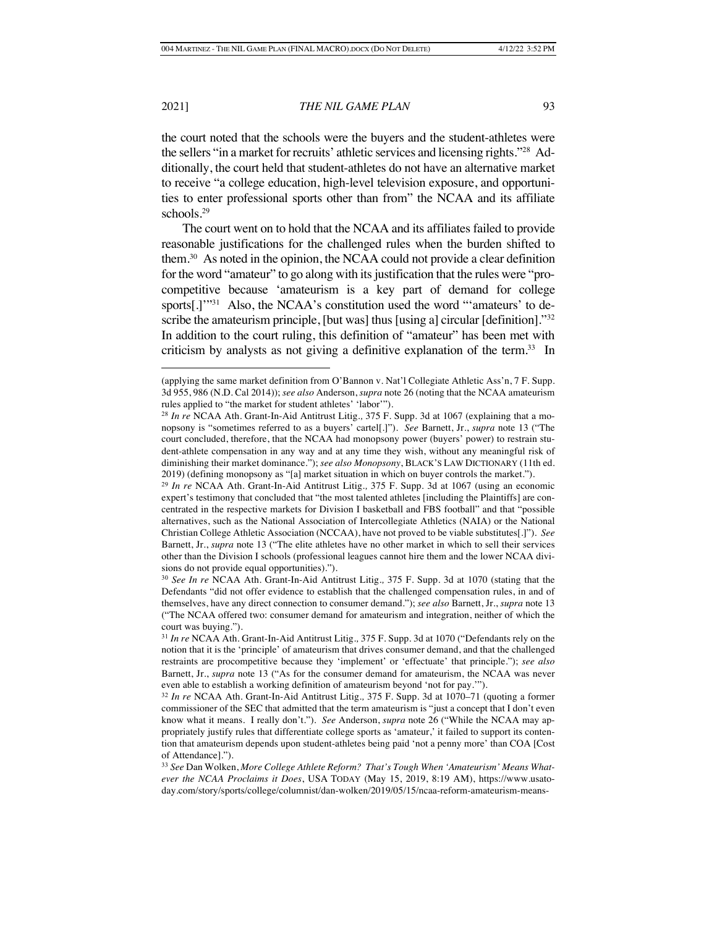the court noted that the schools were the buyers and the student-athletes were the sellers "in a market for recruits' athletic services and licensing rights."28 Additionally, the court held that student-athletes do not have an alternative market to receive "a college education, high-level television exposure, and opportunities to enter professional sports other than from" the NCAA and its affiliate schools.29

The court went on to hold that the NCAA and its affiliates failed to provide reasonable justifications for the challenged rules when the burden shifted to them.30 As noted in the opinion, the NCAA could not provide a clear definition for the word "amateur" to go along with its justification that the rules were "procompetitive because 'amateurism is a key part of demand for college sports[.]'"<sup>31</sup> Also, the NCAA's constitution used the word "'amateurs' to describe the amateurism principle, [but was] thus [using a] circular [definition]."<sup>32</sup> In addition to the court ruling, this definition of "amateur" has been met with criticism by analysts as not giving a definitive explanation of the term.<sup>33</sup> In

<sup>(</sup>applying the same market definition from O'Bannon v. Nat'l Collegiate Athletic Ass'n, 7 F. Supp. 3d 955, 986 (N.D. Cal 2014)); *see also* Anderson, *supra* note 26 (noting that the NCAA amateurism rules applied to "the market for student athletes' 'labor'").

<sup>28</sup> *In re* NCAA Ath. Grant-In-Aid Antitrust Litig*.,* 375 F. Supp. 3d at 1067 (explaining that a monopsony is "sometimes referred to as a buyers' cartel[.]"). *See* Barnett, Jr., *supra* note 13 ("The court concluded, therefore, that the NCAA had monopsony power (buyers' power) to restrain student-athlete compensation in any way and at any time they wish, without any meaningful risk of diminishing their market dominance."); *see also Monopsony*, BLACK'S LAW DICTIONARY (11th ed. 2019) (defining monopsony as "[a] market situation in which on buyer controls the market.").

<sup>29</sup> *In re* NCAA Ath. Grant-In-Aid Antitrust Litig*.,* 375 F. Supp. 3d at 1067 (using an economic expert's testimony that concluded that "the most talented athletes [including the Plaintiffs] are concentrated in the respective markets for Division I basketball and FBS football" and that "possible alternatives, such as the National Association of Intercollegiate Athletics (NAIA) or the National Christian College Athletic Association (NCCAA), have not proved to be viable substitutes[.]"). *See*  Barnett, Jr., *supra* note 13 ("The elite athletes have no other market in which to sell their services other than the Division I schools (professional leagues cannot hire them and the lower NCAA divisions do not provide equal opportunities).").

<sup>30</sup> *See In re* NCAA Ath. Grant-In-Aid Antitrust Litig*.,* 375 F. Supp. 3d at 1070 (stating that the Defendants "did not offer evidence to establish that the challenged compensation rules, in and of themselves, have any direct connection to consumer demand."); *see also* Barnett, Jr., *supra* note 13 ("The NCAA offered two: consumer demand for amateurism and integration, neither of which the court was buying.").

<sup>31</sup> *In re* NCAA Ath. Grant-In-Aid Antitrust Litig*.,* 375 F. Supp. 3d at 1070 ("Defendants rely on the notion that it is the 'principle' of amateurism that drives consumer demand, and that the challenged restraints are procompetitive because they 'implement' or 'effectuate' that principle."); *see also* Barnett, Jr., *supra* note 13 ("As for the consumer demand for amateurism, the NCAA was never even able to establish a working definition of amateurism beyond 'not for pay.'").

<sup>32</sup> *In re* NCAA Ath. Grant-In-Aid Antitrust Litig*.,* 375 F. Supp. 3d at 1070–71 (quoting a former commissioner of the SEC that admitted that the term amateurism is "just a concept that I don't even know what it means. I really don't."). *See* Anderson, *supra* note 26 ("While the NCAA may appropriately justify rules that differentiate college sports as 'amateur,' it failed to support its contention that amateurism depends upon student-athletes being paid 'not a penny more' than COA [Cost of Attendance].").

<sup>33</sup> *See* Dan Wolken, *More College Athlete Reform? That's Tough When 'Amateurism' Means Whatever the NCAA Proclaims it Does*, USA TODAY (May 15, 2019, 8:19 AM), https://www.usatoday.com/story/sports/college/columnist/dan-wolken/2019/05/15/ncaa-reform-amateurism-means-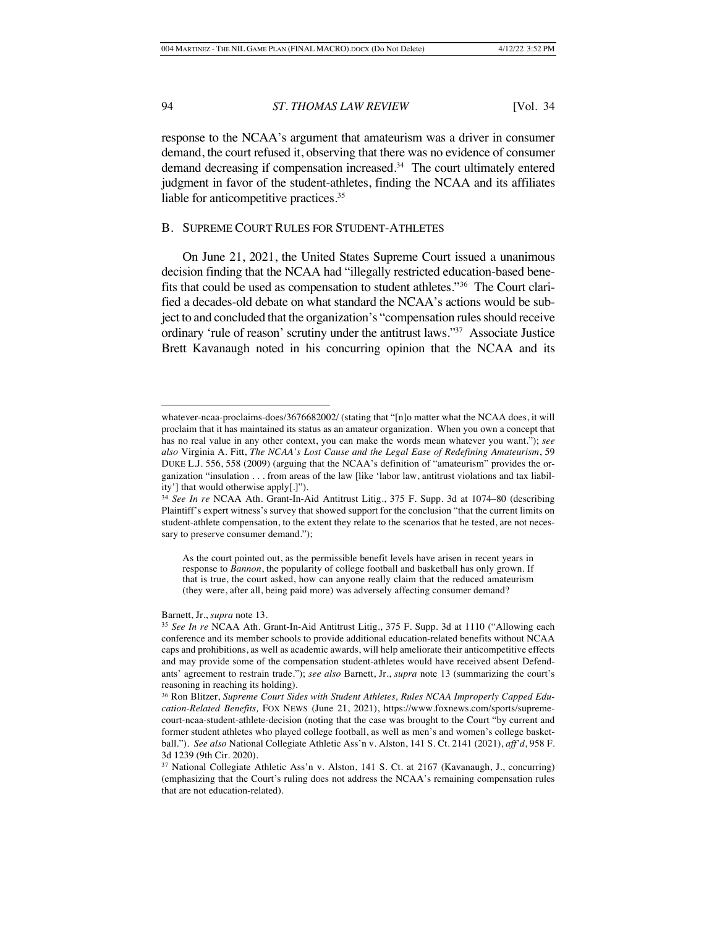response to the NCAA's argument that amateurism was a driver in consumer demand, the court refused it, observing that there was no evidence of consumer demand decreasing if compensation increased.<sup>34</sup> The court ultimately entered judgment in favor of the student-athletes, finding the NCAA and its affiliates liable for anticompetitive practices.<sup>35</sup>

#### B. SUPREME COURT RULES FOR STUDENT-ATHLETES

On June 21, 2021, the United States Supreme Court issued a unanimous decision finding that the NCAA had "illegally restricted education-based benefits that could be used as compensation to student athletes."36 The Court clarified a decades-old debate on what standard the NCAA's actions would be subject to and concluded that the organization's "compensation rules should receive ordinary 'rule of reason' scrutiny under the antitrust laws."37 Associate Justice Brett Kavanaugh noted in his concurring opinion that the NCAA and its

#### Barnett, Jr., *supra* note 13.

whatever-ncaa-proclaims-does/3676682002/ (stating that "[n]o matter what the NCAA does, it will proclaim that it has maintained its status as an amateur organization. When you own a concept that has no real value in any other context, you can make the words mean whatever you want."); *see also* Virginia A. Fitt, *The NCAA's Lost Cause and the Legal Ease of Redefining Amateurism*, 59 DUKE L.J. 556, 558 (2009) (arguing that the NCAA's definition of "amateurism" provides the organization "insulation . . . from areas of the law [like 'labor law, antitrust violations and tax liability'] that would otherwise apply[.]").

<sup>34</sup> *See In re* NCAA Ath. Grant-In-Aid Antitrust Litig., 375 F. Supp. 3d at 1074–80 (describing Plaintiff's expert witness's survey that showed support for the conclusion "that the current limits on student-athlete compensation, to the extent they relate to the scenarios that he tested, are not necessary to preserve consumer demand.");

As the court pointed out, as the permissible benefit levels have arisen in recent years in response to *Bannon*, the popularity of college football and basketball has only grown. If that is true, the court asked, how can anyone really claim that the reduced amateurism (they were, after all, being paid more) was adversely affecting consumer demand?

<sup>35</sup> *See In re* NCAA Ath. Grant-In-Aid Antitrust Litig., 375 F. Supp. 3d at 1110 ("Allowing each conference and its member schools to provide additional education-related benefits without NCAA caps and prohibitions, as well as academic awards, will help ameliorate their anticompetitive effects and may provide some of the compensation student-athletes would have received absent Defendants' agreement to restrain trade."); *see also* Barnett, Jr., *supra* note 13 (summarizing the court's reasoning in reaching its holding).

<sup>36</sup> Ron Blitzer, *Supreme Court Sides with Student Athletes, Rules NCAA Improperly Capped Education-Related Benefits,* FOX NEWS (June 21, 2021), https://www.foxnews.com/sports/supremecourt-ncaa-student-athlete-decision (noting that the case was brought to the Court "by current and former student athletes who played college football, as well as men's and women's college basketball."). *See also* National Collegiate Athletic Ass'n v. Alston, 141 S. Ct. 2141 (2021), *aff'd*, 958 F. 3d 1239 (9th Cir. 2020).

<sup>&</sup>lt;sup>37</sup> National Collegiate Athletic Ass'n v. Alston, 141 S. Ct. at 2167 (Kavanaugh, J., concurring) (emphasizing that the Court's ruling does not address the NCAA's remaining compensation rules that are not education-related).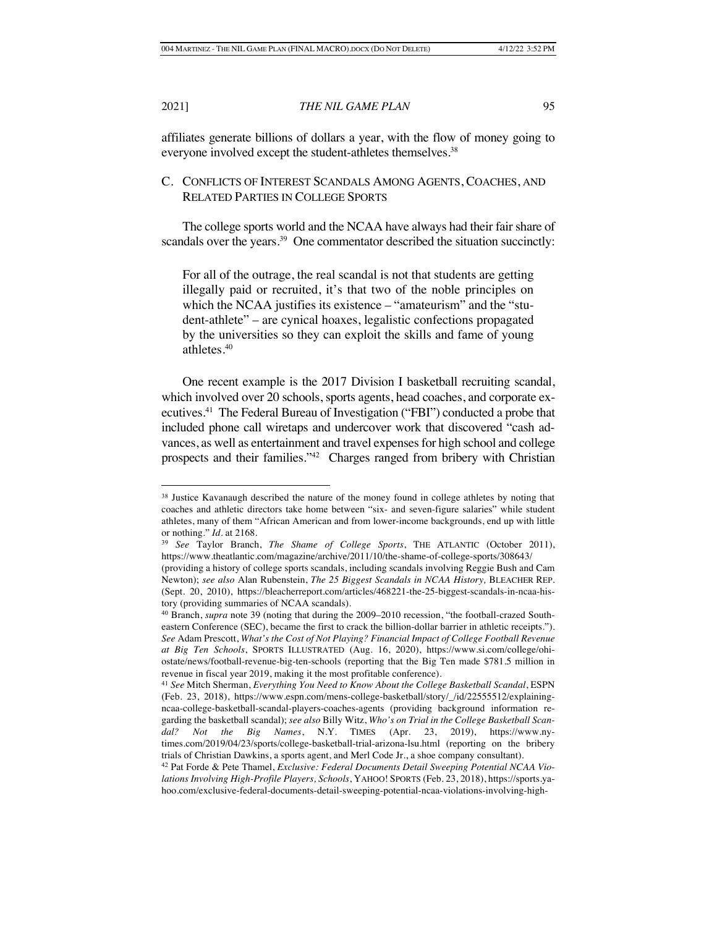affiliates generate billions of dollars a year, with the flow of money going to everyone involved except the student-athletes themselves.<sup>38</sup>

# C. CONFLICTS OF INTEREST SCANDALS AMONG AGENTS, COACHES, AND RELATED PARTIES IN COLLEGE SPORTS

The college sports world and the NCAA have always had their fair share of scandals over the years.<sup>39</sup> One commentator described the situation succinctly:

For all of the outrage, the real scandal is not that students are getting illegally paid or recruited, it's that two of the noble principles on which the NCAA justifies its existence – "amateurism" and the "student-athlete" – are cynical hoaxes, legalistic confections propagated by the universities so they can exploit the skills and fame of young athletes.40

One recent example is the 2017 Division I basketball recruiting scandal, which involved over 20 schools, sports agents, head coaches, and corporate executives.41 The Federal Bureau of Investigation ("FBI") conducted a probe that included phone call wiretaps and undercover work that discovered "cash advances, as well as entertainment and travel expenses for high school and college prospects and their families."42 Charges ranged from bribery with Christian

<sup>&</sup>lt;sup>38</sup> Justice Kavanaugh described the nature of the money found in college athletes by noting that coaches and athletic directors take home between "six- and seven-figure salaries" while student athletes, many of them "African American and from lower-income backgrounds, end up with little or nothing." *Id.* at 2168.

<sup>39</sup> *See* Taylor Branch, *The Shame of College Sports*, THE ATLANTIC (October 2011), https://www.theatlantic.com/magazine/archive/2011/10/the-shame-of-college-sports/308643/

<sup>(</sup>providing a history of college sports scandals, including scandals involving Reggie Bush and Cam Newton); *see also* Alan Rubenstein, *The 25 Biggest Scandals in NCAA History,* BLEACHER REP. (Sept. 20, 2010), https://bleacherreport.com/articles/468221-the-25-biggest-scandals-in-ncaa-history (providing summaries of NCAA scandals).

<sup>40</sup> Branch, *supra* note 39 (noting that during the 2009–2010 recession, "the football-crazed Southeastern Conference (SEC), became the first to crack the billion-dollar barrier in athletic receipts."). *See* Adam Prescott, *What's the Cost of Not Playing? Financial Impact of College Football Revenue at Big Ten Schools*, SPORTS ILLUSTRATED (Aug. 16, 2020), https://www.si.com/college/ohiostate/news/football-revenue-big-ten-schools (reporting that the Big Ten made \$781.5 million in revenue in fiscal year 2019, making it the most profitable conference).

<sup>41</sup> *See* Mitch Sherman, *Everything You Need to Know About the College Basketball Scandal*, ESPN (Feb. 23, 2018), https://www.espn.com/mens-college-basketball/story/\_/id/22555512/explainingncaa-college-basketball-scandal-players-coaches-agents (providing background information regarding the basketball scandal); *see also* Billy Witz, *Who's on Trial in the College Basketball Scandal? Not the Big Names*, N.Y. TIMES (Apr. 23, 2019), https://www.nytimes.com/2019/04/23/sports/college-basketball-trial-arizona-lsu.html (reporting on the bribery trials of Christian Dawkins, a sports agent, and Merl Code Jr., a shoe company consultant).

<sup>42</sup> Pat Forde & Pete Thamel, *Exclusive: Federal Documents Detail Sweeping Potential NCAA Violations Involving High-Profile Players, Schools*, YAHOO! SPORTS (Feb. 23, 2018), https://sports.yahoo.com/exclusive-federal-documents-detail-sweeping-potential-ncaa-violations-involving-high-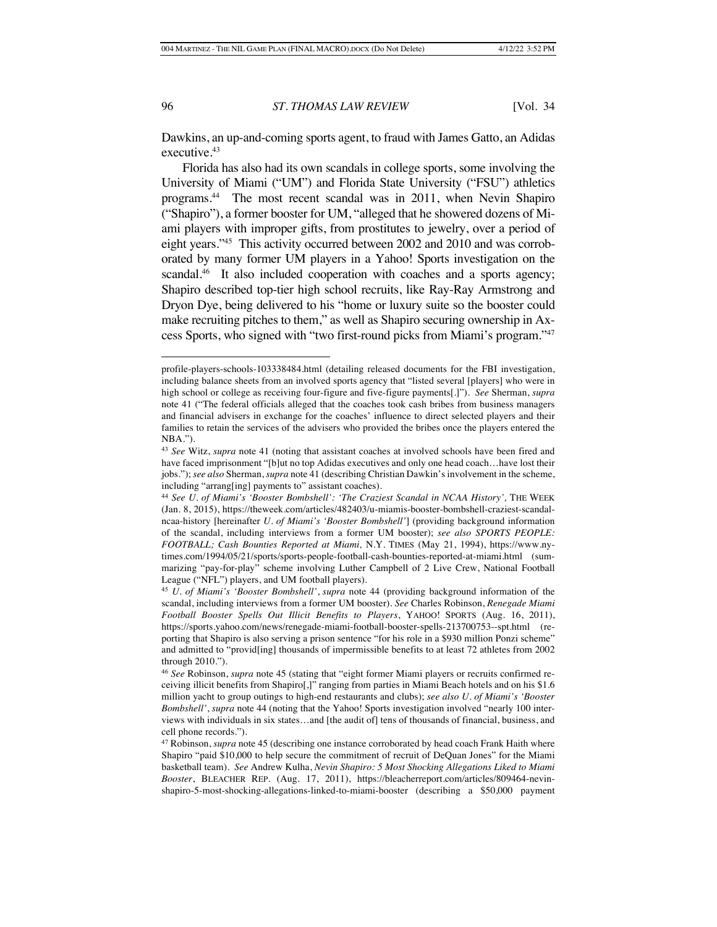Dawkins, an up-and-coming sports agent, to fraud with James Gatto, an Adidas executive.<sup>43</sup>

Florida has also had its own scandals in college sports, some involving the University of Miami ("UM") and Florida State University ("FSU") athletics programs.44 The most recent scandal was in 2011, when Nevin Shapiro ("Shapiro"), a former booster for UM, "alleged that he showered dozens of Miami players with improper gifts, from prostitutes to jewelry, over a period of eight years."45 This activity occurred between 2002 and 2010 and was corroborated by many former UM players in a Yahoo! Sports investigation on the scandal.<sup>46</sup> It also included cooperation with coaches and a sports agency; Shapiro described top-tier high school recruits, like Ray-Ray Armstrong and Dryon Dye, being delivered to his "home or luxury suite so the booster could make recruiting pitches to them," as well as Shapiro securing ownership in Axcess Sports, who signed with "two first-round picks from Miami's program."47

profile-players-schools-103338484.html (detailing released documents for the FBI investigation, including balance sheets from an involved sports agency that "listed several [players] who were in high school or college as receiving four-figure and five-figure payments[.]"). *See* Sherman, *supra*  note 41 ("The federal officials alleged that the coaches took cash bribes from business managers and financial advisers in exchange for the coaches' influence to direct selected players and their families to retain the services of the advisers who provided the bribes once the players entered the NBA.").

<sup>43</sup> *See* Witz, *supra* note 41 (noting that assistant coaches at involved schools have been fired and have faced imprisonment "[b]ut no top Adidas executives and only one head coach…have lost their jobs."); *see also* Sherman, *supra* note 41 (describing Christian Dawkin's involvement in the scheme, including "arrang[ing] payments to" assistant coaches).

<sup>44</sup> *See U. of Miami's 'Booster Bombshell': 'The Craziest Scandal in NCAA History',* THE WEEK (Jan. 8, 2015), https://theweek.com/articles/482403/u-miamis-booster-bombshell-craziest-scandalncaa-history [hereinafter *U. of Miami's 'Booster Bombshell'*] (providing background information of the scandal, including interviews from a former UM booster); *see also SPORTS PEOPLE: FOOTBALL; Cash Bounties Reported at Miami,* N.Y. TIMES (May 21, 1994), https://www.nytimes.com/1994/05/21/sports/sports-people-football-cash-bounties-reported-at-miami.html (summarizing "pay-for-play" scheme involving Luther Campbell of 2 Live Crew, National Football League ("NFL") players, and UM football players).

<sup>45</sup> *U. of Miami's 'Booster Bombshell'*, *supra* note 44 (providing background information of the scandal, including interviews from a former UM booster). *See* Charles Robinson, *Renegade Miami Football Booster Spells Out Illicit Benefits to Players*, YAHOO! SPORTS (Aug. 16, 2011), https://sports.yahoo.com/news/renegade-miami-football-booster-spells-213700753--spt.html (reporting that Shapiro is also serving a prison sentence "for his role in a \$930 million Ponzi scheme" and admitted to "provid[ing] thousands of impermissible benefits to at least 72 athletes from 2002 through 2010.").

<sup>46</sup> *See* Robinson, *supra* note 45 (stating that "eight former Miami players or recruits confirmed receiving illicit benefits from Shapiro[,]" ranging from parties in Miami Beach hotels and on his \$1.6 million yacht to group outings to high-end restaurants and clubs); *see also U. of Miami's 'Booster Bombshell'*, *supra* note 44 (noting that the Yahoo! Sports investigation involved "nearly 100 interviews with individuals in six states…and [the audit of] tens of thousands of financial, business, and cell phone records.").

<sup>47</sup> Robinson, *supra* note 45 (describing one instance corroborated by head coach Frank Haith where Shapiro "paid \$10,000 to help secure the commitment of recruit of DeQuan Jones" for the Miami basketball team). *See* Andrew Kulha, *Nevin Shapiro: 5 Most Shocking Allegations Liked to Miami Booster*, BLEACHER REP. (Aug. 17, 2011), https://bleacherreport.com/articles/809464-nevinshapiro-5-most-shocking-allegations-linked-to-miami-booster (describing a \$50,000 payment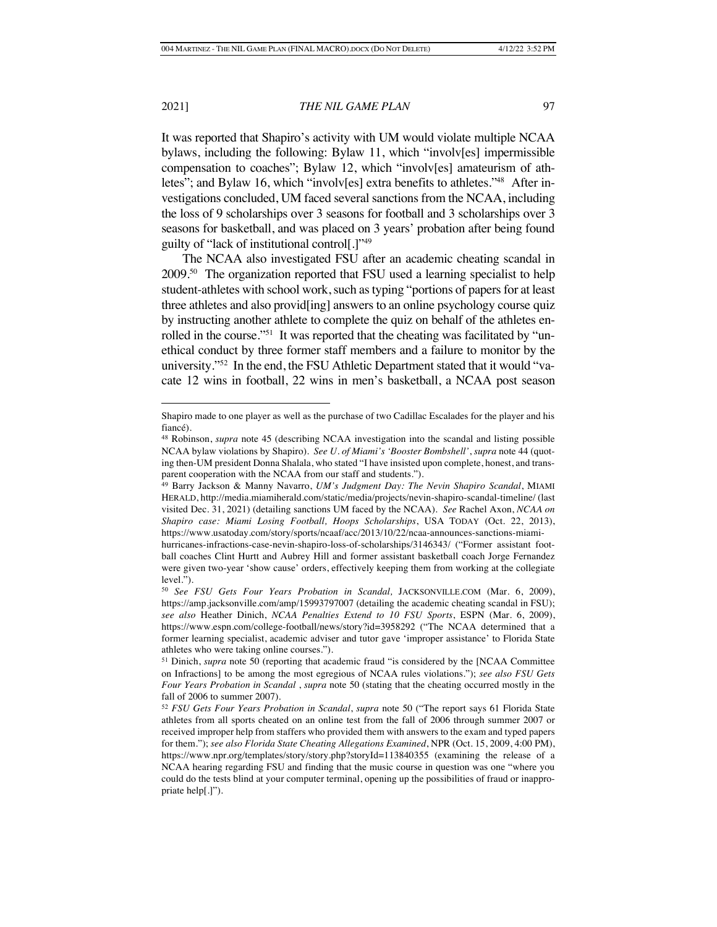It was reported that Shapiro's activity with UM would violate multiple NCAA bylaws, including the following: Bylaw 11, which "involv[es] impermissible compensation to coaches"; Bylaw 12, which "involv[es] amateurism of athletes"; and Bylaw 16, which "involv[es] extra benefits to athletes."48 After investigations concluded, UM faced several sanctions from the NCAA, including the loss of 9 scholarships over 3 seasons for football and 3 scholarships over 3 seasons for basketball, and was placed on 3 years' probation after being found guilty of "lack of institutional control[.]"49

The NCAA also investigated FSU after an academic cheating scandal in 2009.50 The organization reported that FSU used a learning specialist to help student-athletes with school work, such as typing "portions of papers for at least three athletes and also provid[ing] answers to an online psychology course quiz by instructing another athlete to complete the quiz on behalf of the athletes enrolled in the course."<sup>51</sup> It was reported that the cheating was facilitated by "unethical conduct by three former staff members and a failure to monitor by the university."52 In the end, the FSU Athletic Department stated that it would "vacate 12 wins in football, 22 wins in men's basketball, a NCAA post season

Shapiro made to one player as well as the purchase of two Cadillac Escalades for the player and his fiancé).

<sup>48</sup> Robinson, *supra* note 45 (describing NCAA investigation into the scandal and listing possible NCAA bylaw violations by Shapiro). *See U. of Miami's 'Booster Bombshell'*, *supra* note 44 (quoting then-UM president Donna Shalala, who stated "I have insisted upon complete, honest, and transparent cooperation with the NCAA from our staff and students.").

<sup>49</sup> Barry Jackson & Manny Navarro, *UM's Judgment Day: The Nevin Shapiro Scandal*, MIAMI HERALD, http://media.miamiherald.com/static/media/projects/nevin-shapiro-scandal-timeline/ (last visited Dec. 31, 2021) (detailing sanctions UM faced by the NCAA). *See* Rachel Axon, *NCAA on Shapiro case: Miami Losing Football, Hoops Scholarships*, USA TODAY (Oct. 22, 2013), https://www.usatoday.com/story/sports/ncaaf/acc/2013/10/22/ncaa-announces-sanctions-miami-

hurricanes-infractions-case-nevin-shapiro-loss-of-scholarships/3146343/ ("Former assistant football coaches Clint Hurtt and Aubrey Hill and former assistant basketball coach Jorge Fernandez were given two-year 'show cause' orders, effectively keeping them from working at the collegiate level.").

<sup>50</sup> *See FSU Gets Four Years Probation in Scandal,* JACKSONVILLE.COM (Mar. 6, 2009), https://amp.jacksonville.com/amp/15993797007 (detailing the academic cheating scandal in FSU); *see also* Heather Dinich, *NCAA Penalties Extend to 10 FSU Sports*, ESPN (Mar. 6, 2009), https://www.espn.com/college-football/news/story?id=3958292 ("The NCAA determined that a former learning specialist, academic adviser and tutor gave 'improper assistance' to Florida State athletes who were taking online courses.").

<sup>51</sup> Dinich, *supra* note 50 (reporting that academic fraud "is considered by the [NCAA Committee on Infractions] to be among the most egregious of NCAA rules violations."); *see also FSU Gets Four Years Probation in Scandal* , *supra* note 50 (stating that the cheating occurred mostly in the fall of 2006 to summer 2007).

<sup>52</sup> *FSU Gets Four Years Probation in Scandal*, *supra* note 50 ("The report says 61 Florida State athletes from all sports cheated on an online test from the fall of 2006 through summer 2007 or received improper help from staffers who provided them with answers to the exam and typed papers for them."); *see also Florida State Cheating Allegations Examined*, NPR (Oct. 15, 2009, 4:00 PM), https://www.npr.org/templates/story/story.php?storyId=113840355 (examining the release of a NCAA hearing regarding FSU and finding that the music course in question was one "where you could do the tests blind at your computer terminal, opening up the possibilities of fraud or inappropriate help[.]").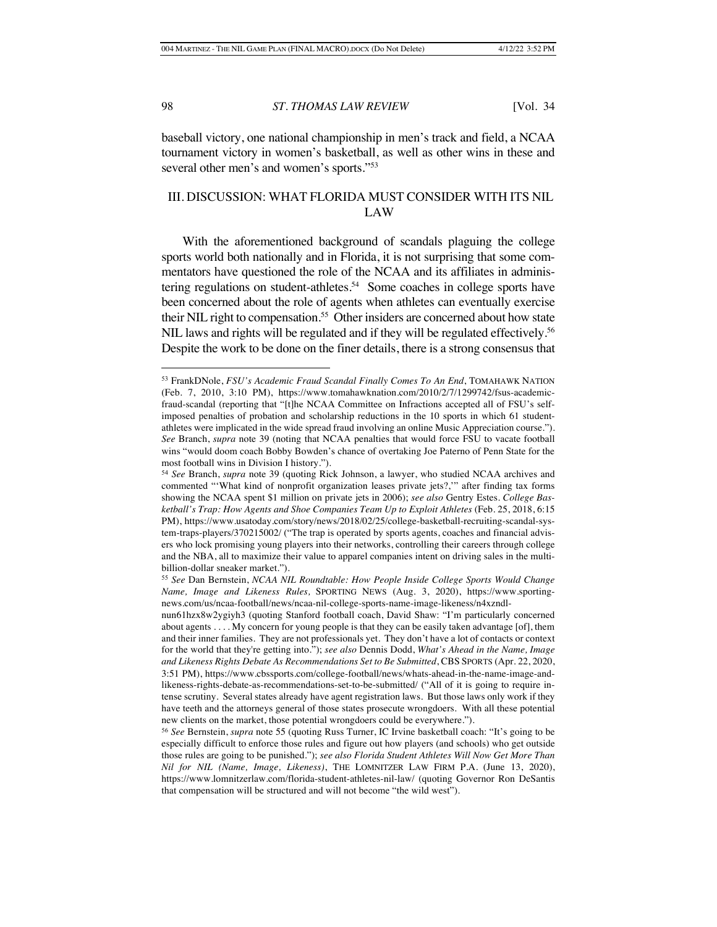baseball victory, one national championship in men's track and field, a NCAA tournament victory in women's basketball, as well as other wins in these and several other men's and women's sports."<sup>53</sup>

# III. DISCUSSION: WHAT FLORIDA MUST CONSIDER WITH ITS NIL LAW

With the aforementioned background of scandals plaguing the college sports world both nationally and in Florida, it is not surprising that some commentators have questioned the role of the NCAA and its affiliates in administering regulations on student-athletes.<sup>54</sup> Some coaches in college sports have been concerned about the role of agents when athletes can eventually exercise their NIL right to compensation.<sup>55</sup> Other insiders are concerned about how state NIL laws and rights will be regulated and if they will be regulated effectively.<sup>56</sup> Despite the work to be done on the finer details, there is a strong consensus that

<sup>53</sup> FrankDNole, *FSU's Academic Fraud Scandal Finally Comes To An End*, TOMAHAWK NATION (Feb. 7, 2010, 3:10 PM), https://www.tomahawknation.com/2010/2/7/1299742/fsus-academicfraud-scandal (reporting that "[t]he NCAA Committee on Infractions accepted all of FSU's selfimposed penalties of probation and scholarship reductions in the 10 sports in which 61 studentathletes were implicated in the wide spread fraud involving an online Music Appreciation course."). *See* Branch, *supra* note 39 (noting that NCAA penalties that would force FSU to vacate football wins "would doom coach Bobby Bowden's chance of overtaking Joe Paterno of Penn State for the most football wins in Division I history.").

<sup>54</sup> *See* Branch, *supra* note 39 (quoting Rick Johnson, a lawyer, who studied NCAA archives and commented "'What kind of nonprofit organization leases private jets?,'" after finding tax forms showing the NCAA spent \$1 million on private jets in 2006); *see also* Gentry Estes. *College Basketball's Trap: How Agents and Shoe Companies Team Up to Exploit Athletes* (Feb. 25, 2018, 6:15 PM), https://www.usatoday.com/story/news/2018/02/25/college-basketball-recruiting-scandal-system-traps-players/370215002/ ("The trap is operated by sports agents, coaches and financial advisers who lock promising young players into their networks, controlling their careers through college and the NBA, all to maximize their value to apparel companies intent on driving sales in the multibillion-dollar sneaker market.").

<sup>55</sup> *See* Dan Bernstein, *NCAA NIL Roundtable: How People Inside College Sports Would Change Name, Image and Likeness Rules,* SPORTING NEWS (Aug. 3, 2020), https://www.sportingnews.com/us/ncaa-football/news/ncaa-nil-college-sports-name-image-likeness/n4xzndl-

nun61hzx8w2ygiyh3 (quoting Stanford football coach, David Shaw: "I'm particularly concerned about agents . . . . My concern for young people is that they can be easily taken advantage [of], them and their inner families. They are not professionals yet. They don't have a lot of contacts or context for the world that they're getting into."); *see also* Dennis Dodd, *What's Ahead in the Name, Image and Likeness Rights Debate As Recommendations Set to Be Submitted*, CBS SPORTS (Apr. 22, 2020, 3:51 PM), https://www.cbssports.com/college-football/news/whats-ahead-in-the-name-image-andlikeness-rights-debate-as-recommendations-set-to-be-submitted/ ("All of it is going to require intense scrutiny. Several states already have agent registration laws. But those laws only work if they have teeth and the attorneys general of those states prosecute wrongdoers. With all these potential new clients on the market, those potential wrongdoers could be everywhere.").

<sup>56</sup> *See* Bernstein, *supra* note 55 (quoting Russ Turner, IC Irvine basketball coach: "It's going to be especially difficult to enforce those rules and figure out how players (and schools) who get outside those rules are going to be punished."); *see also Florida Student Athletes Will Now Get More Than Nil for NIL (Name, Image, Likeness)*, THE LOMNITZER LAW FIRM P.A. (June 13, 2020), https://www.lomnitzerlaw.com/florida-student-athletes-nil-law/ (quoting Governor Ron DeSantis that compensation will be structured and will not become "the wild west").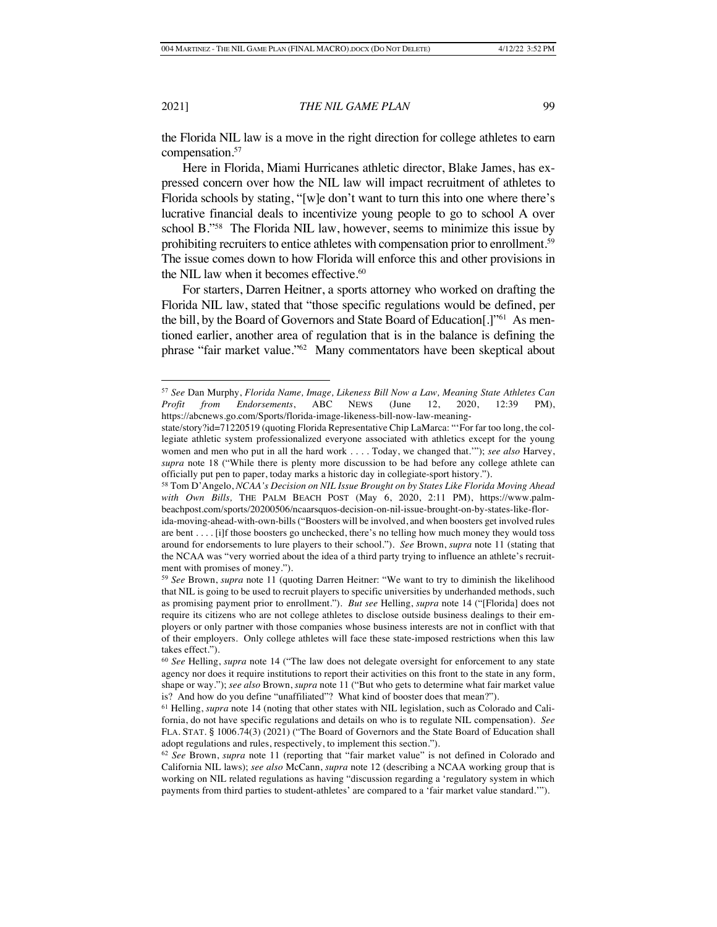the Florida NIL law is a move in the right direction for college athletes to earn compensation.57

Here in Florida, Miami Hurricanes athletic director, Blake James, has expressed concern over how the NIL law will impact recruitment of athletes to Florida schools by stating, "[w]e don't want to turn this into one where there's lucrative financial deals to incentivize young people to go to school A over school B."58 The Florida NIL law, however, seems to minimize this issue by prohibiting recruiters to entice athletes with compensation prior to enrollment.<sup>59</sup> The issue comes down to how Florida will enforce this and other provisions in the NIL law when it becomes effective.<sup>60</sup>

For starters, Darren Heitner, a sports attorney who worked on drafting the Florida NIL law, stated that "those specific regulations would be defined, per the bill, by the Board of Governors and State Board of Education[.]"61 As mentioned earlier, another area of regulation that is in the balance is defining the phrase "fair market value."62 Many commentators have been skeptical about

<sup>57</sup> *See* Dan Murphy, *Florida Name, Image, Likeness Bill Now a Law, Meaning State Athletes Can Profit from Endorsements*, ABC NEWS (June 12, 2020, 12:39 PM), https://abcnews.go.com/Sports/florida-image-likeness-bill-now-law-meaning-

state/story?id=71220519 (quoting Florida Representative Chip LaMarca: "'For far too long, the collegiate athletic system professionalized everyone associated with athletics except for the young women and men who put in all the hard work . . . . Today, we changed that.'"); *see also* Harvey, *supra* note 18 ("While there is plenty more discussion to be had before any college athlete can officially put pen to paper, today marks a historic day in collegiate-sport history.").

<sup>58</sup> Tom D'Angelo, *NCAA's Decision on NIL Issue Brought on by States Like Florida Moving Ahead with Own Bills,* THE PALM BEACH POST (May 6, 2020, 2:11 PM), https://www.palmbeachpost.com/sports/20200506/ncaarsquos-decision-on-nil-issue-brought-on-by-states-like-flor-

ida-moving-ahead-with-own-bills ("Boosters will be involved, and when boosters get involved rules are bent . . . . [i]f those boosters go unchecked, there's no telling how much money they would toss around for endorsements to lure players to their school."). *See* Brown, *supra* note 11 (stating that the NCAA was "very worried about the idea of a third party trying to influence an athlete's recruitment with promises of money.").

<sup>59</sup> *See* Brown, *supra* note 11 (quoting Darren Heitner: "We want to try to diminish the likelihood that NIL is going to be used to recruit players to specific universities by underhanded methods, such as promising payment prior to enrollment."). *But see* Helling, *supra* note 14 ("[Florida] does not require its citizens who are not college athletes to disclose outside business dealings to their employers or only partner with those companies whose business interests are not in conflict with that of their employers. Only college athletes will face these state-imposed restrictions when this law takes effect.").

<sup>60</sup> *See* Helling, *supra* note 14 ("The law does not delegate oversight for enforcement to any state agency nor does it require institutions to report their activities on this front to the state in any form, shape or way."); *see also* Brown, *supra* note 11 ("But who gets to determine what fair market value is? And how do you define "unaffiliated"? What kind of booster does that mean?").

<sup>61</sup> Helling, *supra* note 14 (noting that other states with NIL legislation, such as Colorado and California, do not have specific regulations and details on who is to regulate NIL compensation). *See*  FLA. STAT. § 1006.74(3) (2021) ("The Board of Governors and the State Board of Education shall adopt regulations and rules, respectively, to implement this section.").

<sup>62</sup> *See* Brown, *supra* note 11 (reporting that "fair market value" is not defined in Colorado and California NIL laws); *see also* McCann, *supra* note 12 (describing a NCAA working group that is working on NIL related regulations as having "discussion regarding a 'regulatory system in which payments from third parties to student-athletes' are compared to a 'fair market value standard.'").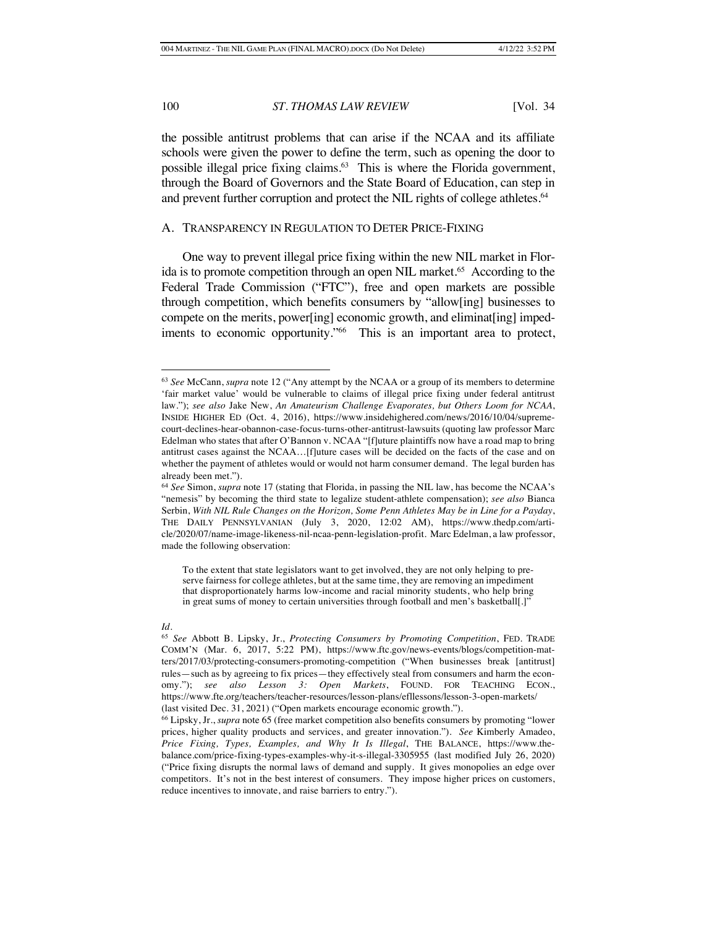the possible antitrust problems that can arise if the NCAA and its affiliate schools were given the power to define the term, such as opening the door to possible illegal price fixing claims.<sup>63</sup> This is where the Florida government, through the Board of Governors and the State Board of Education, can step in and prevent further corruption and protect the NIL rights of college athletes.<sup>64</sup>

#### A. TRANSPARENCY IN REGULATION TO DETER PRICE-FIXING

One way to prevent illegal price fixing within the new NIL market in Florida is to promote competition through an open NIL market.<sup>65</sup> According to the Federal Trade Commission ("FTC"), free and open markets are possible through competition, which benefits consumers by "allow[ing] businesses to compete on the merits, power[ing] economic growth, and eliminat[ing] impediments to economic opportunity."<sup>66</sup> This is an important area to protect,

#### *Id.*

<sup>63</sup> *See* McCann, *supra* note 12 ("Any attempt by the NCAA or a group of its members to determine 'fair market value' would be vulnerable to claims of illegal price fixing under federal antitrust law."); *see also* Jake New, *An Amateurism Challenge Evaporates, but Others Loom for NCAA*, INSIDE HIGHER ED (Oct. 4, 2016), https://www.insidehighered.com/news/2016/10/04/supremecourt-declines-hear-obannon-case-focus-turns-other-antitrust-lawsuits (quoting law professor Marc Edelman who states that after O'Bannon v. NCAA "[f]uture plaintiffs now have a road map to bring antitrust cases against the NCAA…[f]uture cases will be decided on the facts of the case and on whether the payment of athletes would or would not harm consumer demand. The legal burden has already been met.").

<sup>64</sup> *See* Simon, *supra* note 17 (stating that Florida, in passing the NIL law, has become the NCAA's "nemesis" by becoming the third state to legalize student-athlete compensation); *see also* Bianca Serbin, *With NIL Rule Changes on the Horizon, Some Penn Athletes May be in Line for a Payday*, THE DAILY PENNSYLVANIAN (July 3, 2020, 12:02 AM), https://www.thedp.com/article/2020/07/name-image-likeness-nil-ncaa-penn-legislation-profit. Marc Edelman, a law professor, made the following observation:

To the extent that state legislators want to get involved, they are not only helping to preserve fairness for college athletes, but at the same time, they are removing an impediment that disproportionately harms low-income and racial minority students, who help bring in great sums of money to certain universities through football and men's basketball[.]"

<sup>65</sup> *See* Abbott B. Lipsky, Jr., *Protecting Consumers by Promoting Competition*, FED. TRADE COMM'N (Mar. 6, 2017, 5:22 PM), https://www.ftc.gov/news-events/blogs/competition-matters/2017/03/protecting-consumers-promoting-competition ("When businesses break [antitrust] rules—such as by agreeing to fix prices—they effectively steal from consumers and harm the economy."); *see also Lesson 3: Open Markets*, FOUND. FOR TEACHING ECON., https://www.fte.org/teachers/teacher-resources/lesson-plans/efllessons/lesson-3-open-markets/ (last visited Dec. 31, 2021) ("Open markets encourage economic growth.").

<sup>66</sup> Lipsky, Jr., *supra* note 65 (free market competition also benefits consumers by promoting "lower prices, higher quality products and services, and greater innovation."). *See* Kimberly Amadeo, *Price Fixing, Types, Examples, and Why It Is Illegal*, THE BALANCE, https://www.thebalance.com/price-fixing-types-examples-why-it-s-illegal-3305955 (last modified July 26, 2020) ("Price fixing disrupts the normal laws of demand and supply. It gives monopolies an edge over competitors. It's not in the best interest of consumers. They impose higher prices on customers, reduce incentives to innovate, and raise barriers to entry.").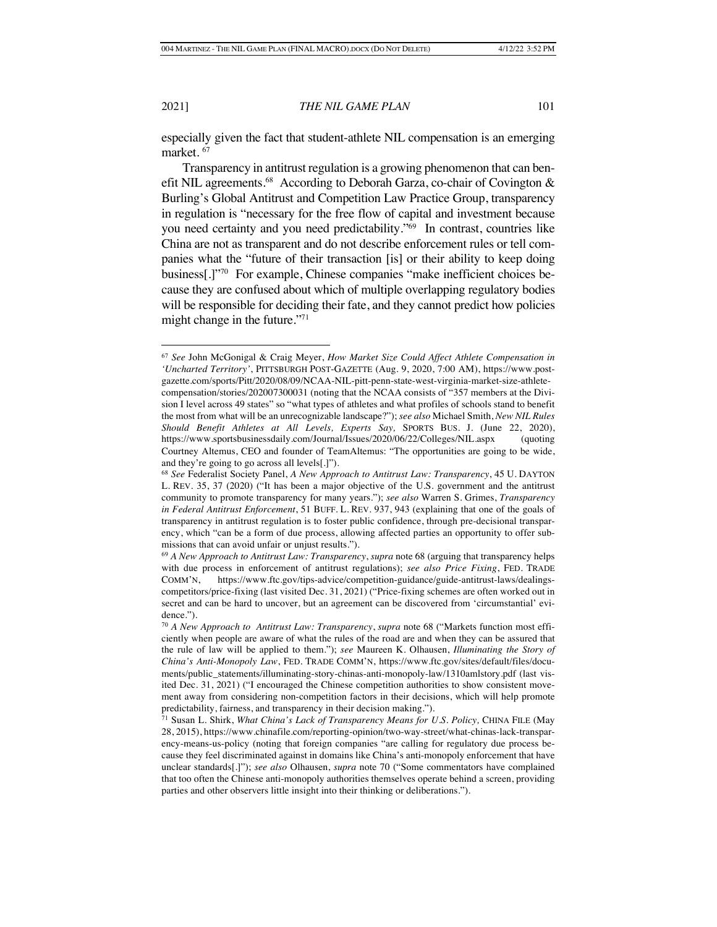especially given the fact that student-athlete NIL compensation is an emerging market. 67

Transparency in antitrust regulation is a growing phenomenon that can benefit NIL agreements.<sup>68</sup> According to Deborah Garza, co-chair of Covington & Burling's Global Antitrust and Competition Law Practice Group, transparency in regulation is "necessary for the free flow of capital and investment because you need certainty and you need predictability."69 In contrast, countries like China are not as transparent and do not describe enforcement rules or tell companies what the "future of their transaction [is] or their ability to keep doing business[.]"70 For example, Chinese companies "make inefficient choices because they are confused about which of multiple overlapping regulatory bodies will be responsible for deciding their fate, and they cannot predict how policies might change in the future."71

<sup>67</sup> *See* John McGonigal & Craig Meyer, *How Market Size Could Affect Athlete Compensation in 'Uncharted Territory'*, PITTSBURGH POST-GAZETTE (Aug. 9, 2020, 7:00 AM), https://www.postgazette.com/sports/Pitt/2020/08/09/NCAA-NIL-pitt-penn-state-west-virginia-market-size-athletecompensation/stories/202007300031 (noting that the NCAA consists of "357 members at the Division I level across 49 states" so "what types of athletes and what profiles of schools stand to benefit the most from what will be an unrecognizable landscape?"); *see also* Michael Smith, *New NIL Rules Should Benefit Athletes at All Levels, Experts Say,* SPORTS BUS. J. (June 22, 2020), https://www.sportsbusinessdaily.com/Journal/Issues/2020/06/22/Colleges/NIL.aspx (quoting Courtney Altemus, CEO and founder of TeamAltemus: "The opportunities are going to be wide, and they're going to go across all levels[.]").

<sup>68</sup> *See* Federalist Society Panel, *A New Approach to Antitrust Law: Transparency*, 45 U. DAYTON L. REV. 35, 37 (2020) ("It has been a major objective of the U.S. government and the antitrust community to promote transparency for many years."); *see also* Warren S. Grimes, *Transparency in Federal Antitrust Enforcement*, 51 BUFF. L. REV. 937, 943 (explaining that one of the goals of transparency in antitrust regulation is to foster public confidence, through pre-decisional transparency, which "can be a form of due process, allowing affected parties an opportunity to offer submissions that can avoid unfair or unjust results.").

<sup>69</sup> *A New Approach to Antitrust Law: Transparency*, *supra* note 68 (arguing that transparency helps with due process in enforcement of antitrust regulations); *see also Price Fixing*, FED. TRADE COMM'N, https://www.ftc.gov/tips-advice/competition-guidance/guide-antitrust-laws/dealingscompetitors/price-fixing (last visited Dec. 31, 2021) ("Price-fixing schemes are often worked out in secret and can be hard to uncover, but an agreement can be discovered from 'circumstantial' evidence.").

<sup>70</sup> *A New Approach to Antitrust Law: Transparency*, *supra* note 68 ("Markets function most efficiently when people are aware of what the rules of the road are and when they can be assured that the rule of law will be applied to them."); *see* Maureen K. Olhausen, *Illuminating the Story of China's Anti-Monopoly Law*, FED. TRADE COMM'N, https://www.ftc.gov/sites/default/files/documents/public\_statements/illuminating-story-chinas-anti-monopoly-law/1310amlstory.pdf (last visited Dec. 31, 2021) ("I encouraged the Chinese competition authorities to show consistent movement away from considering non-competition factors in their decisions, which will help promote predictability, fairness, and transparency in their decision making.").

<sup>71</sup> Susan L. Shirk, *What China's Lack of Transparency Means for U.S. Policy,* CHINA FILE (May 28, 2015), https://www.chinafile.com/reporting-opinion/two-way-street/what-chinas-lack-transparency-means-us-policy (noting that foreign companies "are calling for regulatory due process because they feel discriminated against in domains like China's anti-monopoly enforcement that have unclear standards[.]"); *see also* Olhausen, *supra* note 70 ("Some commentators have complained that too often the Chinese anti-monopoly authorities themselves operate behind a screen, providing parties and other observers little insight into their thinking or deliberations.").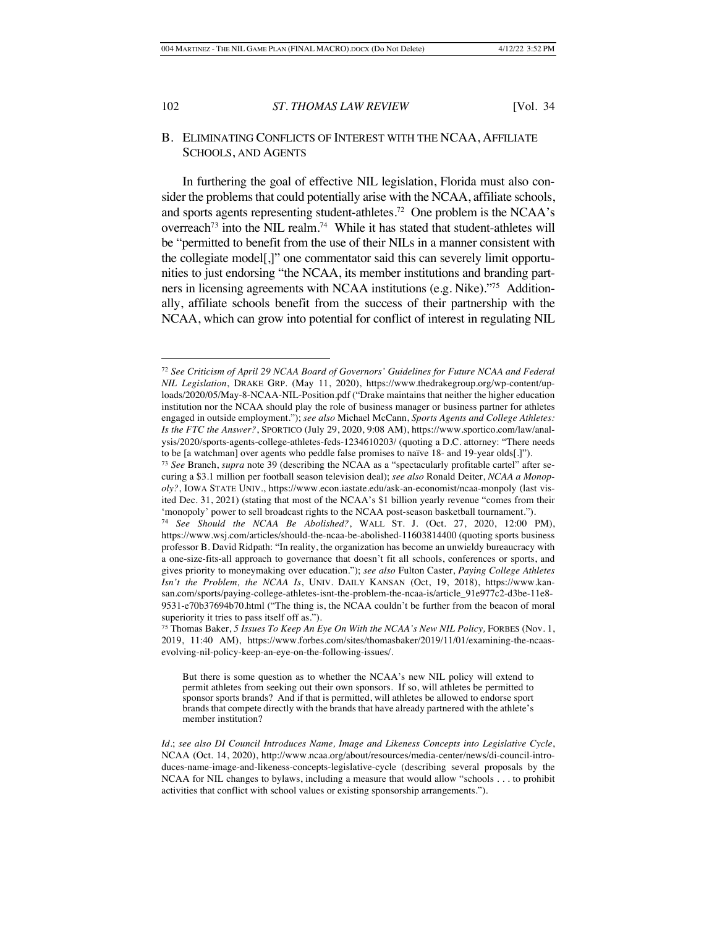# B. ELIMINATING CONFLICTS OF INTEREST WITH THE NCAA, AFFILIATE SCHOOLS, AND AGENTS

In furthering the goal of effective NIL legislation, Florida must also consider the problems that could potentially arise with the NCAA, affiliate schools, and sports agents representing student-athletes.72 One problem is the NCAA's overreach<sup>73</sup> into the NIL realm.<sup>74</sup> While it has stated that student-athletes will be "permitted to benefit from the use of their NILs in a manner consistent with the collegiate model[,]" one commentator said this can severely limit opportunities to just endorsing "the NCAA, its member institutions and branding partners in licensing agreements with NCAA institutions (e.g. Nike)."75 Additionally, affiliate schools benefit from the success of their partnership with the NCAA, which can grow into potential for conflict of interest in regulating NIL

<sup>72</sup> *See Criticism of April 29 NCAA Board of Governors' Guidelines for Future NCAA and Federal NIL Legislation*, DRAKE GRP. (May 11, 2020), https://www.thedrakegroup.org/wp-content/uploads/2020/05/May-8-NCAA-NIL-Position.pdf ("Drake maintains that neither the higher education institution nor the NCAA should play the role of business manager or business partner for athletes engaged in outside employment."); *see also* Michael McCann, *Sports Agents and College Athletes: Is the FTC the Answer?*, SPORTICO (July 29, 2020, 9:08 AM), https://www.sportico.com/law/analysis/2020/sports-agents-college-athletes-feds-1234610203/ (quoting a D.C. attorney: "There needs to be [a watchman] over agents who peddle false promises to naïve 18- and 19-year olds[.]").

<sup>73</sup> *See* Branch, *supra* note 39 (describing the NCAA as a "spectacularly profitable cartel" after securing a \$3.1 million per football season television deal); *see also* Ronald Deiter, *NCAA a Monopoly?*, IOWA STATE UNIV., https://www.econ.iastate.edu/ask-an-economist/ncaa-monpoly (last visited Dec. 31, 2021) (stating that most of the NCAA's \$1 billion yearly revenue "comes from their 'monopoly' power to sell broadcast rights to the NCAA post-season basketball tournament.").

<sup>74</sup> *See Should the NCAA Be Abolished?*, WALL ST. J. (Oct. 27, 2020, 12:00 PM), https://www.wsj.com/articles/should-the-ncaa-be-abolished-11603814400 (quoting sports business professor B. David Ridpath: "In reality, the organization has become an unwieldy bureaucracy with a one-size-fits-all approach to governance that doesn't fit all schools, conferences or sports, and gives priority to moneymaking over education."); *see also* Fulton Caster, *Paying College Athletes Isn't the Problem, the NCAA Is*, UNIV. DAILY KANSAN (Oct, 19, 2018), https://www.kansan.com/sports/paying-college-athletes-isnt-the-problem-the-ncaa-is/article\_91e977c2-d3be-11e8- 9531-e70b37694b70.html ("The thing is, the NCAA couldn't be further from the beacon of moral superiority it tries to pass itself off as.").

<sup>75</sup> Thomas Baker, *5 Issues To Keep An Eye On With the NCAA's New NIL Policy,* FORBES (Nov. 1, 2019, 11:40 AM), https://www.forbes.com/sites/thomasbaker/2019/11/01/examining-the-ncaasevolving-nil-policy-keep-an-eye-on-the-following-issues/.

But there is some question as to whether the NCAA's new NIL policy will extend to permit athletes from seeking out their own sponsors. If so, will athletes be permitted to sponsor sports brands? And if that is permitted, will athletes be allowed to endorse sport brands that compete directly with the brands that have already partnered with the athlete's member institution?

*Id.*; *see also DI Council Introduces Name, Image and Likeness Concepts into Legislative Cycle*, NCAA (Oct. 14, 2020), http://www.ncaa.org/about/resources/media-center/news/di-council-introduces-name-image-and-likeness-concepts-legislative-cycle (describing several proposals by the NCAA for NIL changes to bylaws, including a measure that would allow "schools . . . to prohibit activities that conflict with school values or existing sponsorship arrangements.").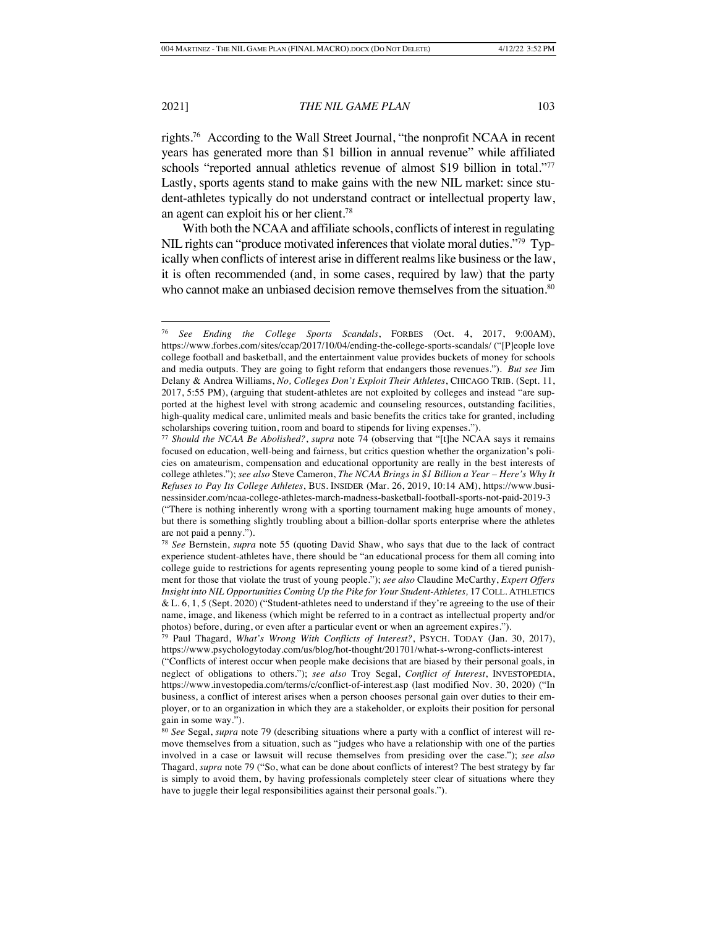rights.76 According to the Wall Street Journal, "the nonprofit NCAA in recent years has generated more than \$1 billion in annual revenue" while affiliated schools "reported annual athletics revenue of almost \$19 billion in total."<sup>77</sup> Lastly, sports agents stand to make gains with the new NIL market: since student-athletes typically do not understand contract or intellectual property law, an agent can exploit his or her client.78

With both the NCAA and affiliate schools, conflicts of interest in regulating NIL rights can "produce motivated inferences that violate moral duties."79 Typically when conflicts of interest arise in different realms like business or the law, it is often recommended (and, in some cases, required by law) that the party who cannot make an unbiased decision remove themselves from the situation.<sup>80</sup>

<sup>76</sup> *See Ending the College Sports Scandals*, FORBES (Oct. 4, 2017, 9:00AM), https://www.forbes.com/sites/ccap/2017/10/04/ending-the-college-sports-scandals/ ("[P]eople love college football and basketball, and the entertainment value provides buckets of money for schools and media outputs. They are going to fight reform that endangers those revenues."). *But see* Jim Delany & Andrea Williams, *No, Colleges Don't Exploit Their Athletes*, CHICAGO TRIB. (Sept. 11, 2017, 5:55 PM), (arguing that student-athletes are not exploited by colleges and instead "are supported at the highest level with strong academic and counseling resources, outstanding facilities, high-quality medical care, unlimited meals and basic benefits the critics take for granted, including scholarships covering tuition, room and board to stipends for living expenses.").

<sup>77</sup> *Should the NCAA Be Abolished?*, *supra* note 74 (observing that "[t]he NCAA says it remains focused on education, well-being and fairness, but critics question whether the organization's policies on amateurism, compensation and educational opportunity are really in the best interests of college athletes."); *see also* Steve Cameron, *The NCAA Brings in \$1 Billion a Year – Here's Why It Refuses to Pay Its College Athletes*, BUS. INSIDER (Mar. 26, 2019, 10:14 AM), https://www.businessinsider.com/ncaa-college-athletes-march-madness-basketball-football-sports-not-paid-2019-3 ("There is nothing inherently wrong with a sporting tournament making huge amounts of money, but there is something slightly troubling about a billion-dollar sports enterprise where the athletes are not paid a penny.").

<sup>78</sup> *See* Bernstein, *supra* note 55 (quoting David Shaw, who says that due to the lack of contract experience student-athletes have, there should be "an educational process for them all coming into college guide to restrictions for agents representing young people to some kind of a tiered punishment for those that violate the trust of young people."); *see also* Claudine McCarthy, *Expert Offers Insight into NIL Opportunities Coming Up the Pike for Your Student-Athletes,* 17 COLL. ATHLETICS & L. 6, 1, 5 (Sept. 2020) ("Student-athletes need to understand if they're agreeing to the use of their name, image, and likeness (which might be referred to in a contract as intellectual property and/or photos) before, during, or even after a particular event or when an agreement expires.").

<sup>79</sup> Paul Thagard, *What's Wrong With Conflicts of Interest?*, PSYCH. TODAY (Jan. 30, 2017), https://www.psychologytoday.com/us/blog/hot-thought/201701/what-s-wrong-conflicts-interest

<sup>(&</sup>quot;Conflicts of interest occur when people make decisions that are biased by their personal goals, in neglect of obligations to others."); *see also* Troy Segal, *Conflict of Interest*, INVESTOPEDIA, https://www.investopedia.com/terms/c/conflict-of-interest.asp (last modified Nov. 30, 2020) ("In business, a conflict of interest arises when a person chooses personal gain over duties to their employer, or to an organization in which they are a stakeholder, or exploits their position for personal gain in some way.").

<sup>80</sup> *See* Segal, *supra* note 79 (describing situations where a party with a conflict of interest will remove themselves from a situation, such as "judges who have a relationship with one of the parties involved in a case or lawsuit will recuse themselves from presiding over the case."); *see also* Thagard, *supra* note 79 ("So, what can be done about conflicts of interest? The best strategy by far is simply to avoid them, by having professionals completely steer clear of situations where they have to juggle their legal responsibilities against their personal goals.").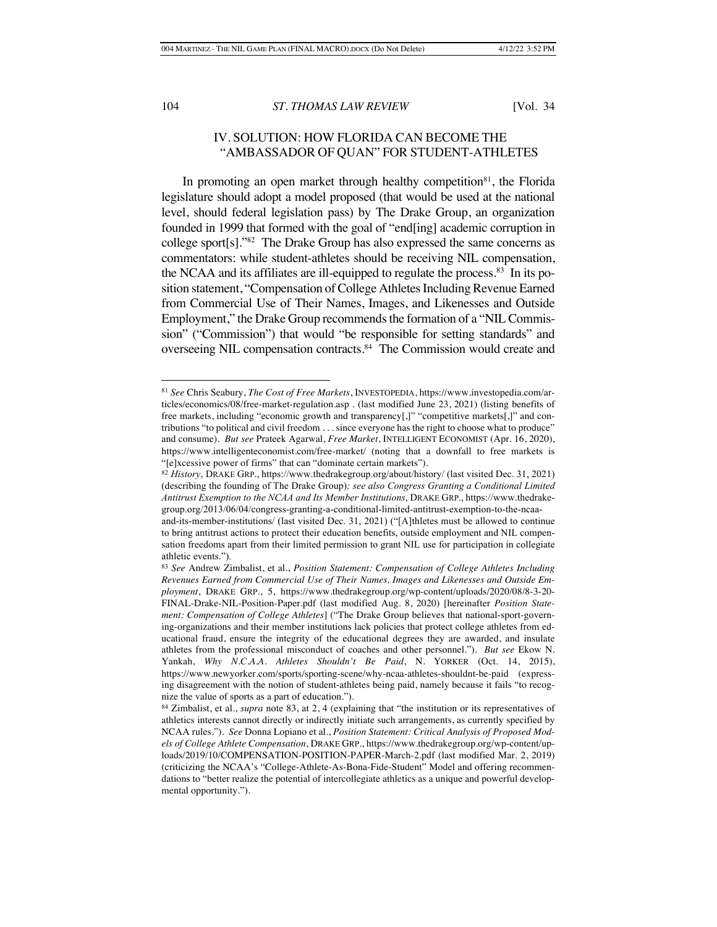# IV. SOLUTION: HOW FLORIDA CAN BECOME THE "AMBASSADOR OF QUAN" FOR STUDENT-ATHLETES

In promoting an open market through healthy competition<sup>81</sup>, the Florida legislature should adopt a model proposed (that would be used at the national level, should federal legislation pass) by The Drake Group, an organization founded in 1999 that formed with the goal of "end[ing] academic corruption in college sport[s]."82 The Drake Group has also expressed the same concerns as commentators: while student-athletes should be receiving NIL compensation, the NCAA and its affiliates are ill-equipped to regulate the process.<sup>83</sup> In its position statement, "Compensation of College Athletes Including Revenue Earned from Commercial Use of Their Names, Images, and Likenesses and Outside Employment," the Drake Group recommends the formation of a "NIL Commission" ("Commission") that would "be responsible for setting standards" and overseeing NIL compensation contracts.<sup>84</sup> The Commission would create and

<sup>81</sup> *See* Chris Seabury, *The Cost of Free Markets*, INVESTOPEDIA, https://www.investopedia.com/articles/economics/08/free-market-regulation.asp . (last modified June 23, 2021) (listing benefits of free markets, including "economic growth and transparency[,]" "competitive markets[,]" and contributions "to political and civil freedom . . . since everyone has the right to choose what to produce" and consume)*. But see* Prateek Agarwal, *Free Market*, INTELLIGENT ECONOMIST (Apr. 16, 2020), https://www.intelligenteconomist.com/free-market/ (noting that a downfall to free markets is "[e]xcessive power of firms" that can "dominate certain markets").

<sup>82</sup> *History*, DRAKE GRP., https://www.thedrakegroup.org/about/history/ (last visited Dec. 31, 2021) (describing the founding of The Drake Group)*; see also Congress Granting a Conditional Limited Antitrust Exemption to the NCAA and Its Member Institutions*, DRAKE GRP., https://www.thedrakegroup.org/2013/06/04/congress-granting-a-conditional-limited-antitrust-exemption-to-the-ncaa-

and-its-member-institutions/ (last visited Dec. 31, 2021) ("[A]thletes must be allowed to continue to bring antitrust actions to protect their education benefits, outside employment and NIL compensation freedoms apart from their limited permission to grant NIL use for participation in collegiate athletic events.").

<sup>83</sup> *See* Andrew Zimbalist, et al., *Position Statement: Compensation of College Athletes Including Revenues Earned from Commercial Use of Their Names, Images and Likenesses and Outside Employment*, DRAKE GRP., 5, https://www.thedrakegroup.org/wp-content/uploads/2020/08/8-3-20- FINAL-Drake-NIL-Position-Paper.pdf (last modified Aug. 8, 2020) [hereinafter *Position Statement: Compensation of College Athletes*] ("The Drake Group believes that national-sport-governing-organizations and their member institutions lack policies that protect college athletes from educational fraud, ensure the integrity of the educational degrees they are awarded, and insulate athletes from the professional misconduct of coaches and other personnel.")*. But see* Ekow N. Yankah, *Why N.C.A.A. Athletes Shouldn't Be Paid*, N. YORKER (Oct. 14, 2015), https://www.newyorker.com/sports/sporting-scene/why-ncaa-athletes-shouldnt-be-paid (expressing disagreement with the notion of student-athletes being paid, namely because it fails "to recognize the value of sports as a part of education.").

<sup>84</sup> Zimbalist, et al., *supra* note 83, at 2, 4 (explaining that "the institution or its representatives of athletics interests cannot directly or indirectly initiate such arrangements, as currently specified by NCAA rules."). *See* Donna Lopiano et al., *Position Statement: Critical Analysis of Proposed Models of College Athlete Compensation*, DRAKE GRP., https://www.thedrakegroup.org/wp-content/uploads/2019/10/COMPENSATION-POSITION-PAPER-March-2.pdf (last modified Mar. 2, 2019) (criticizing the NCAA's "College-Athlete-As-Bona-Fide-Student" Model and offering recommendations to "better realize the potential of intercollegiate athletics as a unique and powerful developmental opportunity.").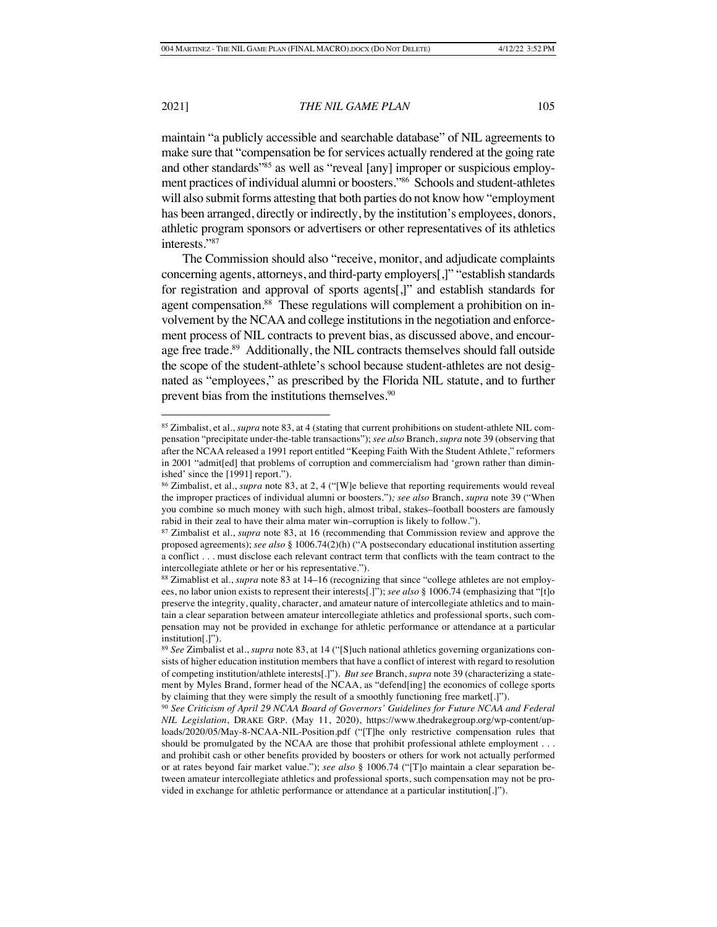maintain "a publicly accessible and searchable database" of NIL agreements to make sure that "compensation be for services actually rendered at the going rate and other standards"<sup>85</sup> as well as "reveal [any] improper or suspicious employment practices of individual alumni or boosters."86 Schools and student-athletes will also submit forms attesting that both parties do not know how "employment has been arranged, directly or indirectly, by the institution's employees, donors, athletic program sponsors or advertisers or other representatives of its athletics interests."87

The Commission should also "receive, monitor, and adjudicate complaints concerning agents, attorneys, and third-party employers[,]" "establish standards for registration and approval of sports agents[,]" and establish standards for agent compensation.<sup>88</sup> These regulations will complement a prohibition on involvement by the NCAA and college institutions in the negotiation and enforcement process of NIL contracts to prevent bias, as discussed above, and encourage free trade.<sup>89</sup> Additionally, the NIL contracts themselves should fall outside the scope of the student-athlete's school because student-athletes are not designated as "employees," as prescribed by the Florida NIL statute, and to further prevent bias from the institutions themselves.<sup>90</sup>

<sup>85</sup> Zimbalist, et al., *supra* note 83, at 4 (stating that current prohibitions on student-athlete NIL compensation "precipitate under-the-table transactions"); *see also* Branch, *supra* note 39 (observing that after the NCAA released a 1991 report entitled "Keeping Faith With the Student Athlete," reformers in 2001 "admit[ed] that problems of corruption and commercialism had 'grown rather than diminished' since the [1991] report.").

<sup>86</sup> Zimbalist, et al., *supra* note 83, at 2, 4 ("[W]e believe that reporting requirements would reveal the improper practices of individual alumni or boosters.")*; see also* Branch, *supra* note 39 ("When you combine so much money with such high, almost tribal, stakes–football boosters are famously rabid in their zeal to have their alma mater win–corruption is likely to follow.").

<sup>87</sup> Zimbalist et al., *supra* note 83, at 16 (recommending that Commission review and approve the proposed agreements); *see also* § 1006.74(2)(h) ("A postsecondary educational institution asserting a conflict . . . must disclose each relevant contract term that conflicts with the team contract to the intercollegiate athlete or her or his representative.").

<sup>88</sup> Zimablist et al., *supra* note 83 at 14–16 (recognizing that since "college athletes are not employees, no labor union exists to represent their interests[.]"); *see also* § 1006.74 (emphasizing that "[t]o preserve the integrity, quality, character, and amateur nature of intercollegiate athletics and to maintain a clear separation between amateur intercollegiate athletics and professional sports, such compensation may not be provided in exchange for athletic performance or attendance at a particular institution[.]").

<sup>89</sup> *See* Zimbalist et al., *supra* note 83, at 14 ("[S]uch national athletics governing organizations consists of higher education institution members that have a conflict of interest with regard to resolution of competing institution/athlete interests[.]")*. But see* Branch, *supra* note 39 (characterizing a statement by Myles Brand, former head of the NCAA, as "defend[ing] the economics of college sports by claiming that they were simply the result of a smoothly functioning free market[.]").

<sup>90</sup> *See Criticism of April 29 NCAA Board of Governors' Guidelines for Future NCAA and Federal NIL Legislation*, DRAKE GRP. (May 11, 2020), https://www.thedrakegroup.org/wp-content/uploads/2020/05/May-8-NCAA-NIL-Position.pdf ("[T]he only restrictive compensation rules that should be promulgated by the NCAA are those that prohibit professional athlete employment . . . and prohibit cash or other benefits provided by boosters or others for work not actually performed or at rates beyond fair market value."); *see also* § 1006.74 ("[T]o maintain a clear separation between amateur intercollegiate athletics and professional sports, such compensation may not be provided in exchange for athletic performance or attendance at a particular institution[.]").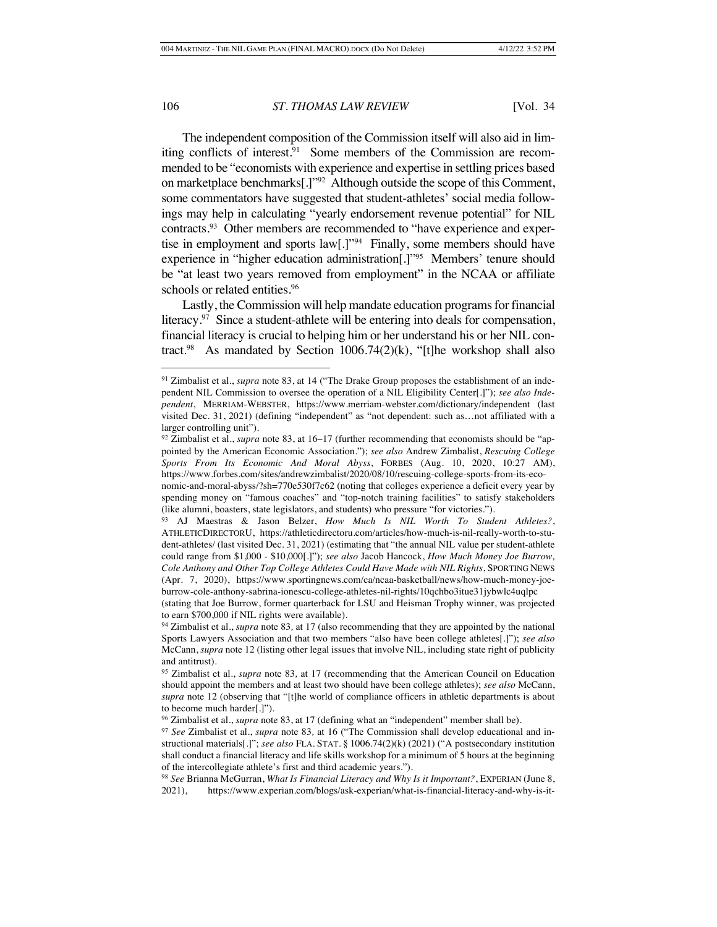The independent composition of the Commission itself will also aid in limiting conflicts of interest.<sup>91</sup> Some members of the Commission are recommended to be "economists with experience and expertise in settling prices based on marketplace benchmarks[.]"92 Although outside the scope of this Comment, some commentators have suggested that student-athletes' social media followings may help in calculating "yearly endorsement revenue potential" for NIL contracts.93 Other members are recommended to "have experience and expertise in employment and sports law[.]"94 Finally, some members should have experience in "higher education administration[.]"95 Members' tenure should be "at least two years removed from employment" in the NCAA or affiliate schools or related entities.<sup>96</sup>

Lastly, the Commission will help mandate education programs for financial literacy.<sup>97</sup> Since a student-athlete will be entering into deals for compensation, financial literacy is crucial to helping him or her understand his or her NIL contract.<sup>98</sup> As mandated by Section 1006.74 $(2)(k)$ , "[t]he workshop shall also

<sup>91</sup> Zimbalist et al., *supra* note 83, at 14 ("The Drake Group proposes the establishment of an independent NIL Commission to oversee the operation of a NIL Eligibility Center[.]"); *see also Independent*, MERRIAM-WEBSTER, https://www.merriam-webster.com/dictionary/independent (last visited Dec. 31, 2021) (defining "independent" as "not dependent: such as…not affiliated with a larger controlling unit").

<sup>92</sup> Zimbalist et al., *supra* note 83, at 16–17 (further recommending that economists should be "appointed by the American Economic Association."); *see also* Andrew Zimbalist, *Rescuing College Sports From Its Economic And Moral Abyss*, FORBES (Aug. 10, 2020, 10:27 AM), https://www.forbes.com/sites/andrewzimbalist/2020/08/10/rescuing-college-sports-from-its-economic-and-moral-abyss/?sh=770e530f7c62 (noting that colleges experience a deficit every year by spending money on "famous coaches" and "top-notch training facilities" to satisfy stakeholders

<sup>(</sup>like alumni, boasters, state legislators, and students) who pressure "for victories."). <sup>93</sup> AJ Maestras & Jason Belzer, *How Much Is NIL Worth To Student Athletes?*, ATHLETICDIRECTORU, https://athleticdirectoru.com/articles/how-much-is-nil-really-worth-to-student-athletes/ (last visited Dec. 31, 2021) (estimating that "the annual NIL value per student-athlete could range from \$1,000 - \$10,000[.]"); *see also* Jacob Hancock, *How Much Money Joe Burrow,* 

*Cole Anthony and Other Top College Athletes Could Have Made with NIL Rights*, SPORTING NEWS (Apr. 7, 2020), https://www.sportingnews.com/ca/ncaa-basketball/news/how-much-money-joeburrow-cole-anthony-sabrina-ionescu-college-athletes-nil-rights/10qchbo3itue31jybwlc4uqlpc

<sup>(</sup>stating that Joe Burrow, former quarterback for LSU and Heisman Trophy winner, was projected to earn \$700,000 if NIL rights were available).

<sup>94</sup> Zimbalist et al., *supra* note 83*,* at 17 (also recommending that they are appointed by the national Sports Lawyers Association and that two members "also have been college athletes[.]"); *see also*  McCann, *supra* note 12 (listing other legal issues that involve NIL, including state right of publicity and antitrust).

<sup>95</sup> Zimbalist et al., *supra* note 83*,* at 17 (recommending that the American Council on Education should appoint the members and at least two should have been college athletes); *see also* McCann, *supra* note 12 (observing that "[t]he world of compliance officers in athletic departments is about to become much harder[.]").

<sup>96</sup> Zimbalist et al., *supra* note 83, at 17 (defining what an "independent" member shall be).

<sup>97</sup> *See* Zimbalist et al., *supra* note 83*,* at 16 ("The Commission shall develop educational and instructional materials[.]"; *see also* FLA. STAT. § 1006.74(2)(k) (2021) ("A postsecondary institution shall conduct a financial literacy and life skills workshop for a minimum of 5 hours at the beginning of the intercollegiate athlete's first and third academic years.").

<sup>98</sup> *See* Brianna McGurran, *What Is Financial Literacy and Why Is it Important?*, EXPERIAN (June 8, 2021), https://www.experian.com/blogs/ask-experian/what-is-financial-literacy-and-why-is-it-